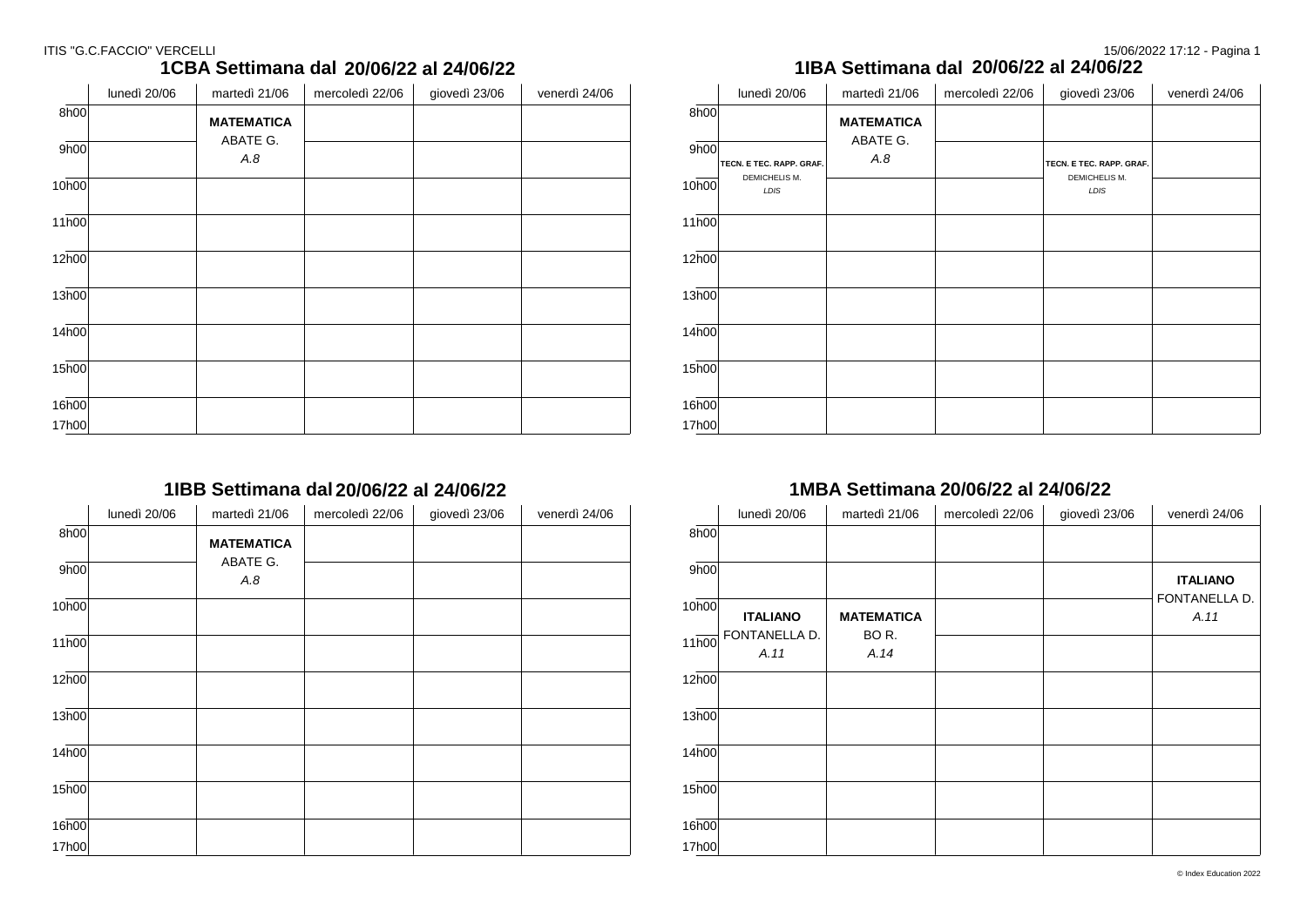### ITIS "G.C.FACCIO" VERCELLI 2008/2022 17:12 - Pagina 1

|                    | lunedi 20/06 | martedi 21/06     | mercoledi 22/06 | giovedi 23/06 | venerdi 24/06 |
|--------------------|--------------|-------------------|-----------------|---------------|---------------|
| 8h00               |              | <b>MATEMATICA</b> |                 |               |               |
| 9h00               |              | ABATE G.<br>A.8   |                 |               |               |
| 10h00              |              |                   |                 |               |               |
| 11h00              |              |                   |                 |               |               |
| 12h00              |              |                   |                 |               |               |
| 13h00              |              |                   |                 |               |               |
| $14\overline{h00}$ |              |                   |                 |               |               |
| $15\overline{h00}$ |              |                   |                 |               |               |
| 16h00              |              |                   |                 |               |               |
| 17h00              |              |                   |                 |               |               |

### **1CBA Settimana dal 20/07/22 al 24/07/22**  $\frac{1}{20}$

**1IBB Settimana dal 20/07/22 al 24/07/22**

|                   | lunedì 20/06 | martedì 21/06     | mercoledì 22/06 | giovedì 23/06 | venerdì 24/06 |
|-------------------|--------------|-------------------|-----------------|---------------|---------------|
| 8h00              |              | <b>MATEMATICA</b> |                 |               |               |
| 9h00              |              | ABATE G.<br>A.8   |                 |               |               |
| 10h00             |              |                   |                 |               |               |
| 11h00             |              |                   |                 |               |               |
| 12h00             |              |                   |                 |               |               |
| 13h00             |              |                   |                 |               |               |
| 14 <sub>h00</sub> |              |                   |                 |               |               |
| 15h00             |              |                   |                 |               |               |
| 16h00             |              |                   |                 |               |               |
| 17h00             |              |                   |                 |               |               |

### **1IBA Settimana dal 20/07/22 al 24/07/22 20/06/22 al 24/06/22 20/06/22 al 24/06/22**

|                | lunedì 20/06             | martedì 21/06     | mercoledì 22/06 | giovedì 23/06            | venerdì 24/06 |
|----------------|--------------------------|-------------------|-----------------|--------------------------|---------------|
| 8h00           |                          | <b>MATEMATICA</b> |                 |                          |               |
| 9h00           | TECN. E TEC. RAPP. GRAF. | ABATE G.<br>A.8   |                 | TECN. E TEC. RAPP. GRAF. |               |
| 10h00          | DEMICHELIS M.<br>LDIS    |                   |                 | DEMICHELIS M.<br>LDIS    |               |
| 11h00          |                          |                   |                 |                          |               |
| 12h00          |                          |                   |                 |                          |               |
| 13h00          |                          |                   |                 |                          |               |
| 14h00          |                          |                   |                 |                          |               |
| 15h00          |                          |                   |                 |                          |               |
| 16h00<br>17h00 |                          |                   |                 |                          |               |

### **1MBA Settimana dal 20/07/22 al 24/07/22 20/06/22 al 24/06/22 20/06/22 al 24/06/22**

|                   | lunedì 20/06          | martedì 21/06     | mercoledì 22/06 | giovedì 23/06 | venerdì 24/06         |
|-------------------|-----------------------|-------------------|-----------------|---------------|-----------------------|
| 8h00              |                       |                   |                 |               |                       |
| 9h00              |                       |                   |                 |               | <b>ITALIANO</b>       |
| 10h00             | <b>ITALIANO</b>       | <b>MATEMATICA</b> |                 |               | FONTANELLA D.<br>A.11 |
| 11h00             | FONTANELLA D.<br>A.11 | BOR.<br>A.14      |                 |               |                       |
| 12h00             |                       |                   |                 |               |                       |
| 13h00             |                       |                   |                 |               |                       |
| 14h00             |                       |                   |                 |               |                       |
| 15 <sub>h00</sub> |                       |                   |                 |               |                       |
| 16 <sub>h00</sub> |                       |                   |                 |               |                       |
| 17h00             |                       |                   |                 |               |                       |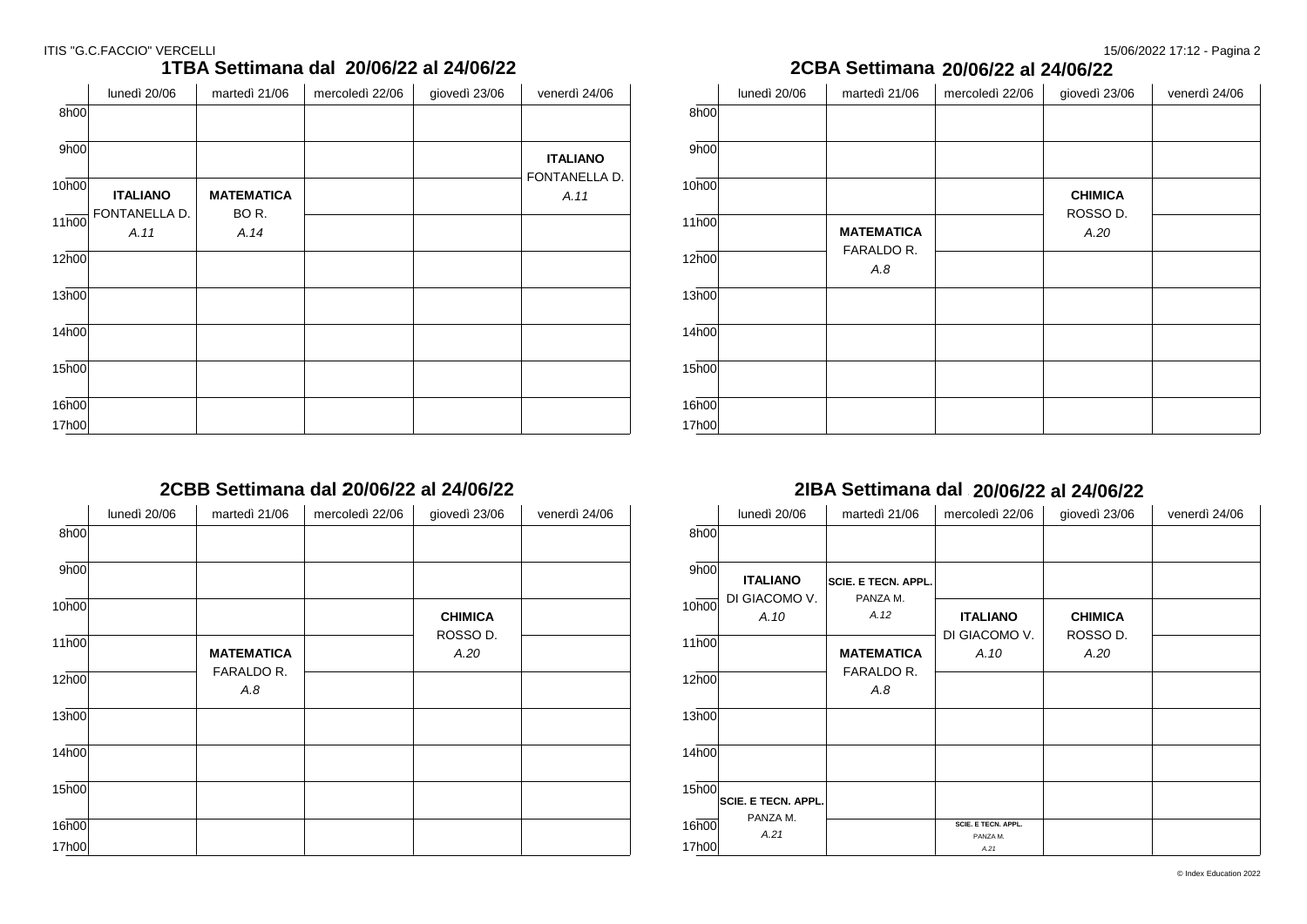### ITIS "G.C.FACCIO" VERCELLI 20022 17:12 - Pagina 2

|                    | lunedì 20/06          | martedì 21/06     | mercoledì 22/06 | giovedì 23/06 | venerdì 24/06         |
|--------------------|-----------------------|-------------------|-----------------|---------------|-----------------------|
| 8h00               |                       |                   |                 |               |                       |
| 9h00               |                       |                   |                 |               | <b>ITALIANO</b>       |
| 10h00              | <b>ITALIANO</b>       | <b>MATEMATICA</b> |                 |               | FONTANELLA D.<br>A.11 |
| $11\overline{h00}$ | FONTANELLA D.<br>A.11 | BOR.<br>A.14      |                 |               |                       |
| 12h00              |                       |                   |                 |               |                       |
| 13h00              |                       |                   |                 |               |                       |
| 14h00              |                       |                   |                 |               |                       |
| 15h00              |                       |                   |                 |               |                       |
| 16h00              |                       |                   |                 |               |                       |
| 17h00              |                       |                   |                 |               |                       |

# **1TBA Settimana dal 20/07/22 al 24/07/22**

**2CBA Settimana dal 20/07/22 al 24/07/22 20/06/22 al 24/06/22 20/06/22 al 24/06/22**

|                    | lunedì 20/06 | martedì 21/06     | mercoledì 22/06 | giovedì 23/06    | venerdì 24/06 |
|--------------------|--------------|-------------------|-----------------|------------------|---------------|
| 8h00               |              |                   |                 |                  |               |
| 9h00               |              |                   |                 |                  |               |
| 10h00              |              |                   |                 | <b>CHIMICA</b>   |               |
| $11\overline{h00}$ |              | <b>MATEMATICA</b> |                 | ROSSO D.<br>A.20 |               |
| 12h00              |              | FARALDO R.<br>A.8 |                 |                  |               |
| 13h00              |              |                   |                 |                  |               |
| 14h00              |              |                   |                 |                  |               |
| $15\overline{h00}$ |              |                   |                 |                  |               |
| 16h00              |              |                   |                 |                  |               |
| 17h00              |              |                   |                 |                  |               |

### **2CBB Settimana dal 20/07/22 al 24/07/22 20/06/22 al 24/06/22**

|       | lunedì 20/06 | martedì 21/06     | mercoledì 22/06 | giovedì 23/06    | venerdì 24/06 |
|-------|--------------|-------------------|-----------------|------------------|---------------|
| 8h00  |              |                   |                 |                  |               |
| 9h00  |              |                   |                 |                  |               |
| 10h00 |              |                   |                 | <b>CHIMICA</b>   |               |
| 11h00 |              | <b>MATEMATICA</b> |                 | ROSSO D.<br>A.20 |               |
| 12h00 |              | FARALDO R.<br>A.8 |                 |                  |               |
| 13h00 |              |                   |                 |                  |               |
| 14h00 |              |                   |                 |                  |               |
| 15h00 |              |                   |                 |                  |               |
| 16h00 |              |                   |                 |                  |               |
| 17h00 |              |                   |                 |                  |               |

### **2IBA Settimana dal 20/07/22 al 24/07/22 20/06/22 al 24/06/22**

|       | lunedì 20/06               | martedì 21/06              | mercoledì 22/06                        | giovedì 23/06    | venerdì 24/06 |
|-------|----------------------------|----------------------------|----------------------------------------|------------------|---------------|
| 8h00  |                            |                            |                                        |                  |               |
| 9h00  | <b>ITALIANO</b>            | <b>SCIE. E TECN. APPL.</b> |                                        |                  |               |
| 10h00 | DI GIACOMO V.<br>A.10      | PANZA M.<br>A.12           | <b>ITALIANO</b>                        | <b>CHIMICA</b>   |               |
| 11h00 |                            | <b>MATEMATICA</b>          | DI GIACOMO V.<br>A.10                  | ROSSO D.<br>A.20 |               |
| 12h00 |                            | FARALDO R.<br>A.8          |                                        |                  |               |
| 13h00 |                            |                            |                                        |                  |               |
| 14h00 |                            |                            |                                        |                  |               |
| 15h00 | <b>SCIE. E TECN. APPL.</b> |                            |                                        |                  |               |
| 16h00 | PANZA M.<br>A.21           |                            | <b>SCIE, E TECN, APPL.</b><br>PANZA M. |                  |               |
| 17h00 |                            |                            | A.21                                   |                  |               |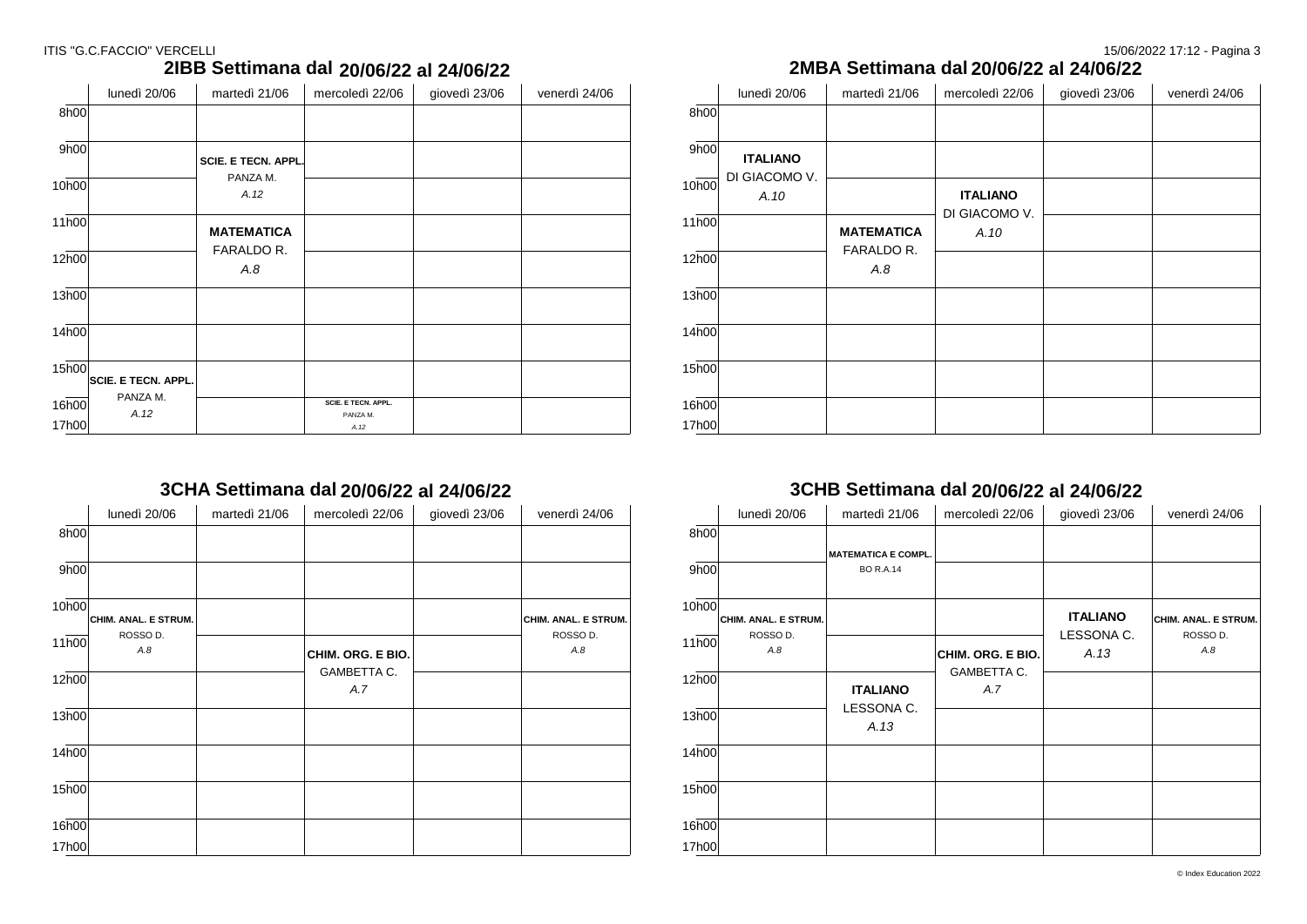### ITIS "G.C.FACCIO" VERCELLI 20022 17:12 - Pagina 3

### **2IBB Settimana dal 20/07/22 al 24/07/22**

|       | lunedì 20/06               | martedì 21/06              | mercoledì 22/06     | giovedì 23/06 | venerdì 24/06 |
|-------|----------------------------|----------------------------|---------------------|---------------|---------------|
| 8h00  |                            |                            |                     |               |               |
| 9h00  |                            | <b>SCIE. E TECN. APPL.</b> |                     |               |               |
| 10h00 |                            | PANZA M.<br>A.12           |                     |               |               |
| 11h00 |                            | <b>MATEMATICA</b>          |                     |               |               |
| 12h00 |                            | FARALDO R.<br>A.8          |                     |               |               |
| 13h00 |                            |                            |                     |               |               |
| 14h00 |                            |                            |                     |               |               |
| 15h00 | <b>SCIE. E TECN. APPL.</b> |                            |                     |               |               |
| 16h00 | PANZA M.                   |                            | SCIE. E TECN. APPL. |               |               |
| 17h00 | A.12                       |                            | PANZA M.<br>A.12    |               |               |

# **3CHA Settimana dal 20/07/22 al 24/07/22**

|       | lunedì 20/06         | martedì 21/06 | mercoledì 22/06    | giovedì 23/06 | venerdì 24/06        |
|-------|----------------------|---------------|--------------------|---------------|----------------------|
| 8h00  |                      |               |                    |               |                      |
| 9h00  |                      |               |                    |               |                      |
| 10h00 | CHIM. ANAL. E STRUM. |               |                    |               | CHIM. ANAL. E STRUM. |
| 11h00 | ROSSO D.<br>A.8      |               | CHIM. ORG. E BIO.  |               | ROSSO D.<br>A.8      |
| 12h00 |                      |               | GAMBETTA C.<br>A.7 |               |                      |
| 13h00 |                      |               |                    |               |                      |
| 14h00 |                      |               |                    |               |                      |
| 15h00 |                      |               |                    |               |                      |
| 16h00 |                      |               |                    |               |                      |
| 17h00 |                      |               |                    |               |                      |

### **2MBA Settimana dal 20/07/22 al 24/07/22 20/06/22 al 24/06/22 20/06/22 al 24/06/22**

|       | lunedì 20/06          | martedì 21/06     | mercoledì 22/06       | giovedì 23/06 | venerdì 24/06 |
|-------|-----------------------|-------------------|-----------------------|---------------|---------------|
| 8h00  |                       |                   |                       |               |               |
| 9h00  | <b>ITALIANO</b>       |                   |                       |               |               |
| 10h00 | DI GIACOMO V.<br>A.10 |                   | <b>ITALIANO</b>       |               |               |
| 11h00 |                       | <b>MATEMATICA</b> | DI GIACOMO V.<br>A.10 |               |               |
| 12h00 |                       | FARALDO R.<br>A.8 |                       |               |               |
| 13h00 |                       |                   |                       |               |               |
| 14h00 |                       |                   |                       |               |               |
| 15h00 |                       |                   |                       |               |               |
| 16h00 |                       |                   |                       |               |               |
| 17h00 |                       |                   |                       |               |               |

### **3CHB Settimana dal 20/07/22 al 24/07/22 20/06/22 al 24/06/22 20/06/22 al 24/06/22**

|       | lunedì 20/06                     | martedì 21/06              | mercoledì 22/06   | giovedì 23/06   | venerdì 24/06                    |
|-------|----------------------------------|----------------------------|-------------------|-----------------|----------------------------------|
| 8h00  |                                  |                            |                   |                 |                                  |
|       |                                  | <b>MATEMATICA E COMPL.</b> |                   |                 |                                  |
| 9h00  |                                  | <b>BO R.A.14</b>           |                   |                 |                                  |
| 10h00 |                                  |                            |                   | <b>ITALIANO</b> |                                  |
|       | CHIM. ANAL. E STRUM.<br>ROSSO D. |                            |                   | LESSONA C.      | CHIM. ANAL. E STRUM.<br>ROSSO D. |
| 11h00 | A.8                              |                            | CHIM. ORG. E BIO. | A.13            | A.8                              |
| 12h00 |                                  |                            | GAMBETTA C.       |                 |                                  |
|       |                                  | <b>ITALIANO</b>            | A.7               |                 |                                  |
| 13h00 |                                  | LESSONA C.<br>A.13         |                   |                 |                                  |
|       |                                  |                            |                   |                 |                                  |
| 14h00 |                                  |                            |                   |                 |                                  |
| 15h00 |                                  |                            |                   |                 |                                  |
| 16h00 |                                  |                            |                   |                 |                                  |
| 17h00 |                                  |                            |                   |                 |                                  |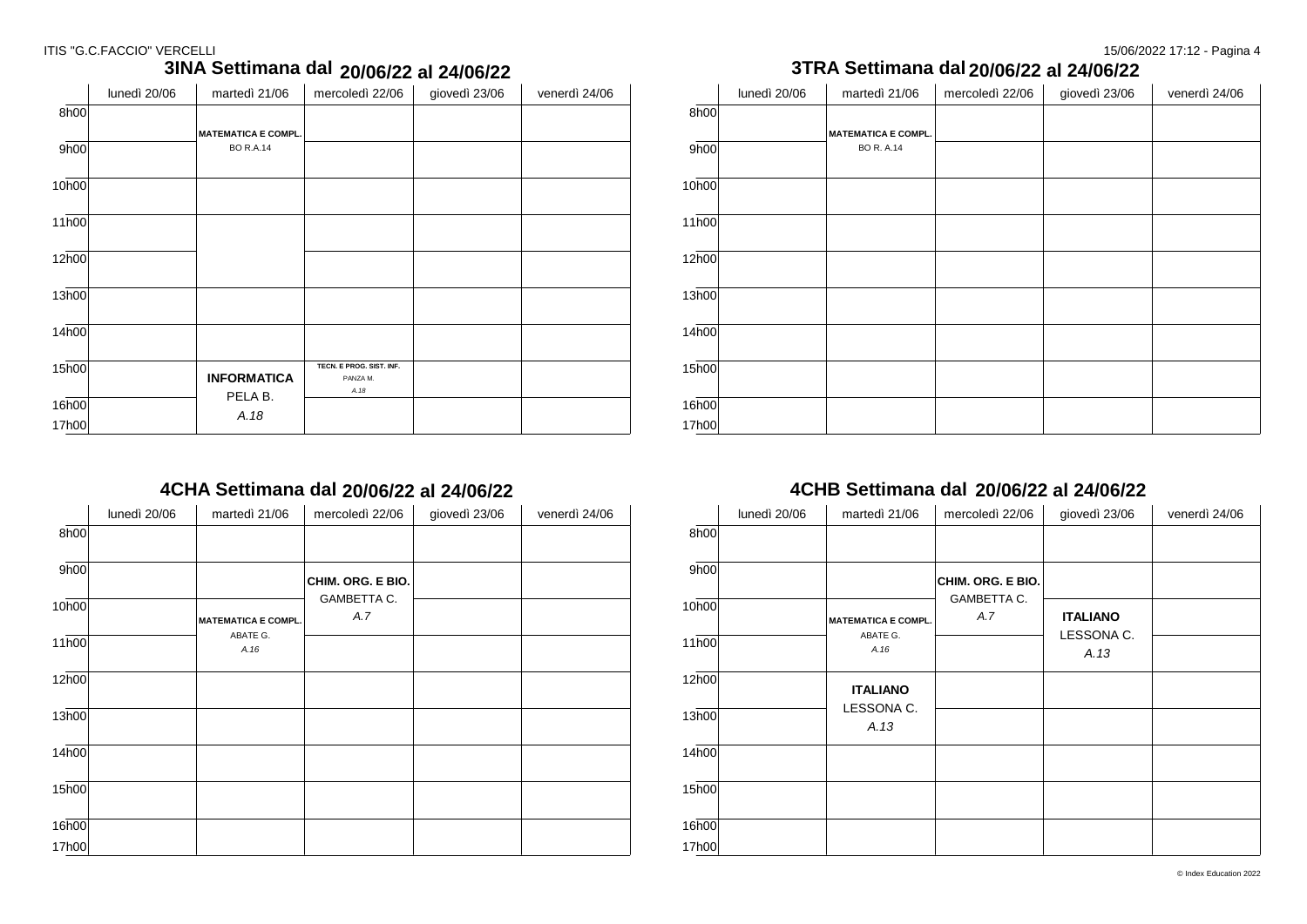#### ITIS "G.C.FACCIO" VERCELLI 15/06/2022 17:12 - Pagina 4

|                   | lunedì 20/06 | martedì 21/06              | mercoledì 22/06          | giovedì 23/06 | venerdì 24/06 |
|-------------------|--------------|----------------------------|--------------------------|---------------|---------------|
| 8h00              |              |                            |                          |               |               |
|                   |              | <b>MATEMATICA E COMPL.</b> |                          |               |               |
| 9h00              |              | <b>BO R.A.14</b>           |                          |               |               |
|                   |              |                            |                          |               |               |
| 10h00             |              |                            |                          |               |               |
|                   |              |                            |                          |               |               |
| 11h00             |              |                            |                          |               |               |
|                   |              |                            |                          |               |               |
| 12h00             |              |                            |                          |               |               |
|                   |              |                            |                          |               |               |
| 13h00             |              |                            |                          |               |               |
|                   |              |                            |                          |               |               |
| 14 <sub>h00</sub> |              |                            |                          |               |               |
| 15 <sub>h00</sub> |              |                            | TECN. E PROG. SIST. INF. |               |               |
|                   |              | <b>INFORMATICA</b>         | PANZA M.                 |               |               |
|                   |              | PELA B.                    | A.18                     |               |               |
| 16h00             |              | A.18                       |                          |               |               |
| 17h00             |              |                            |                          |               |               |

### **3INA Settimana dal 20/07/22 al 24/07/22**

## **4CHA Settimana dal 20/07/22 al 24/07/22**

|                   | lunedì 20/06 | martedì 21/06              | mercoledì 22/06    | giovedì 23/06 | venerdì 24/06 |
|-------------------|--------------|----------------------------|--------------------|---------------|---------------|
| 8h00              |              |                            |                    |               |               |
| 9h00              |              |                            | CHIM. ORG. E BIO.  |               |               |
| 10h00             |              | <b>MATEMATICA E COMPL.</b> | GAMBETTA C.<br>A.7 |               |               |
| 11h00             |              | ABATE G.<br>A.16           |                    |               |               |
| 12h00             |              |                            |                    |               |               |
| 13h00             |              |                            |                    |               |               |
| 14 <sub>h00</sub> |              |                            |                    |               |               |
| 15h00             |              |                            |                    |               |               |
| 16h00<br>17h00    |              |                            |                    |               |               |

|                                | 20/06/22 al 24/06/22 |               |       |              | 3TRA Settimana dal 20/06/22 al 24/06/22 |                 |               |               |
|--------------------------------|----------------------|---------------|-------|--------------|-----------------------------------------|-----------------|---------------|---------------|
| oledì 22/06                    | giovedì 23/06        | venerdì 24/06 |       | lunedì 20/06 | martedì 21/06                           | mercoledì 22/06 | giovedì 23/06 | venerdì 24/06 |
|                                |                      |               | 8h00  |              |                                         |                 |               |               |
|                                |                      |               |       |              | <b>MATEMATICA E COMPL.</b>              |                 |               |               |
|                                |                      |               | 9h00  |              | <b>BO R. A.14</b>                       |                 |               |               |
|                                |                      |               | 10h00 |              |                                         |                 |               |               |
|                                |                      |               | 11h00 |              |                                         |                 |               |               |
|                                |                      |               | 12h00 |              |                                         |                 |               |               |
|                                |                      |               | 13h00 |              |                                         |                 |               |               |
|                                |                      |               | 14h00 |              |                                         |                 |               |               |
| E PROG. SIST. INF.<br>PANZA M. |                      |               | 15h00 |              |                                         |                 |               |               |
| A.18                           |                      |               | 16h00 |              |                                         |                 |               |               |
|                                |                      |               | 17h00 |              |                                         |                 |               |               |

### **4CHB Settimana dal 20/07/22 al 24/07/22 20/06/22 al 24/06/22 20/06/22 al 24/06/22**

|       | lunedì 20/06 | martedì 21/06              | mercoledì 22/06    | giovedì 23/06      | venerdì 24/06 |
|-------|--------------|----------------------------|--------------------|--------------------|---------------|
| 8h00  |              |                            |                    |                    |               |
| 9h00  |              |                            | CHIM. ORG. E BIO.  |                    |               |
| 10h00 |              | <b>MATEMATICA E COMPL.</b> | GAMBETTA C.<br>A.7 | <b>ITALIANO</b>    |               |
| 11h00 |              | ABATE G.<br>A.16           |                    | LESSONA C.<br>A.13 |               |
| 12h00 |              | <b>ITALIANO</b>            |                    |                    |               |
| 13h00 |              | LESSONA C.<br>A.13         |                    |                    |               |
| 14h00 |              |                            |                    |                    |               |
| 15h00 |              |                            |                    |                    |               |
| 16h00 |              |                            |                    |                    |               |
| 17h00 |              |                            |                    |                    |               |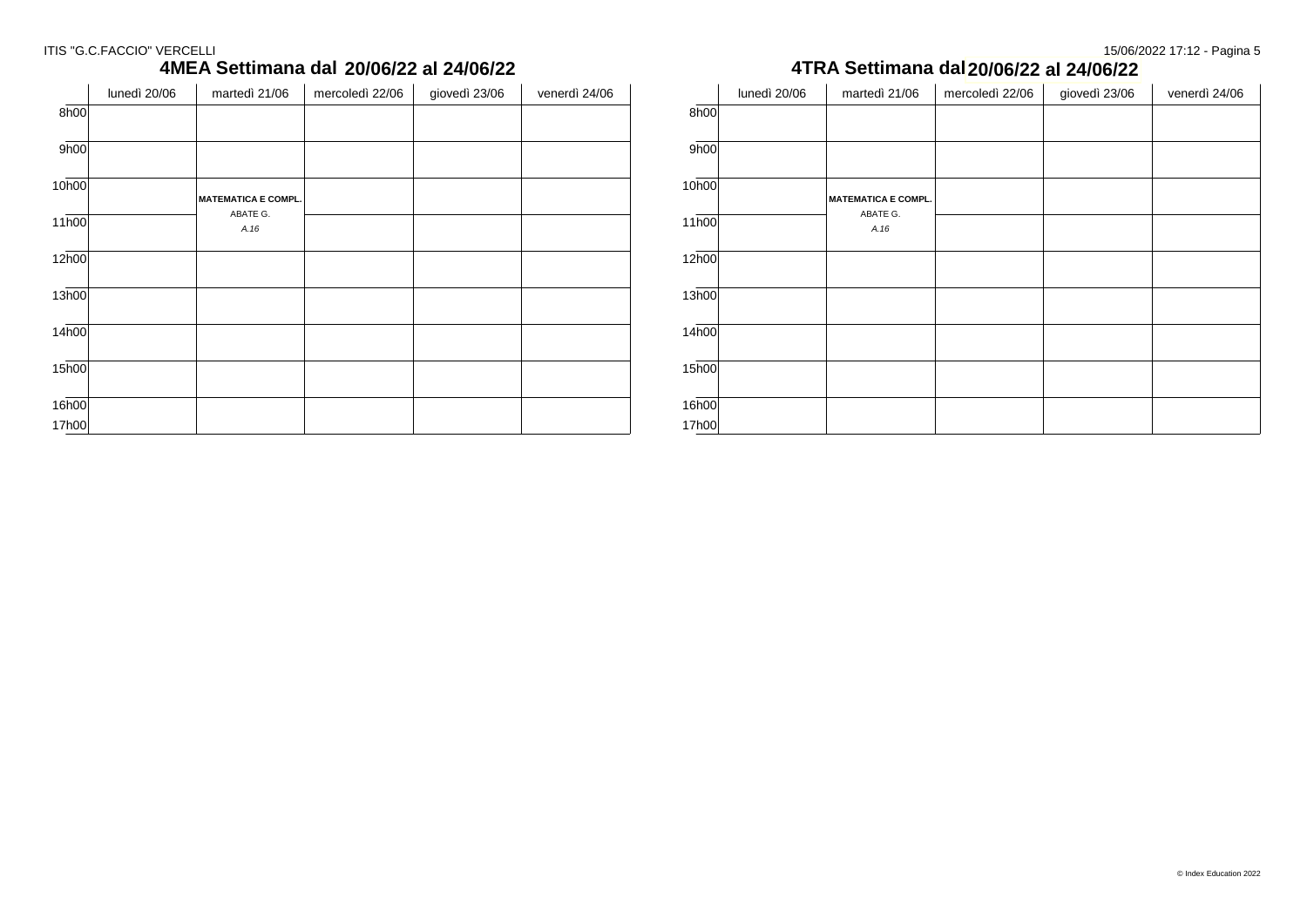### ITIS "G.C.FACCIO" VERCELLI 20022 17:12 - Pagina 5

# **4MEA Settimana dal 20/07/22 al 24/07/22**

|       | lunedì 20/06 | martedì 21/06              | mercoledì 22/06 | giovedì 23/06 | venerdì 24/06 |
|-------|--------------|----------------------------|-----------------|---------------|---------------|
| 8h00  |              |                            |                 |               |               |
| 9h00  |              |                            |                 |               |               |
| 10h00 |              | <b>MATEMATICA E COMPL.</b> |                 |               |               |
| 11h00 |              | ABATE G.<br>A.16           |                 |               |               |
| 12h00 |              |                            |                 |               |               |
| 13h00 |              |                            |                 |               |               |
| 14h00 |              |                            |                 |               |               |
| 15h00 |              |                            |                 |               |               |
| 16h00 |              |                            |                 |               |               |
| 17h00 |              |                            |                 |               |               |

### **4TRA Settimana dal 20/07/22 al 24/07/22 20/06/22 al 24/06/22 20/06/22 al 24/06/22**

|                    | lunedì 20/06 | martedì 21/06              | mercoledì 22/06 | giovedì 23/06 | venerdì 24/06 |
|--------------------|--------------|----------------------------|-----------------|---------------|---------------|
| 8h00               |              |                            |                 |               |               |
| 9h00               |              |                            |                 |               |               |
| 10h00              |              | <b>MATEMATICA E COMPL.</b> |                 |               |               |
| 11h00              |              | ABATE G.<br>A.16           |                 |               |               |
| 12h00              |              |                            |                 |               |               |
| 13h00              |              |                            |                 |               |               |
| 14h00              |              |                            |                 |               |               |
| $15\overline{h00}$ |              |                            |                 |               |               |
| 16h00              |              |                            |                 |               |               |
| 17h00              |              |                            |                 |               |               |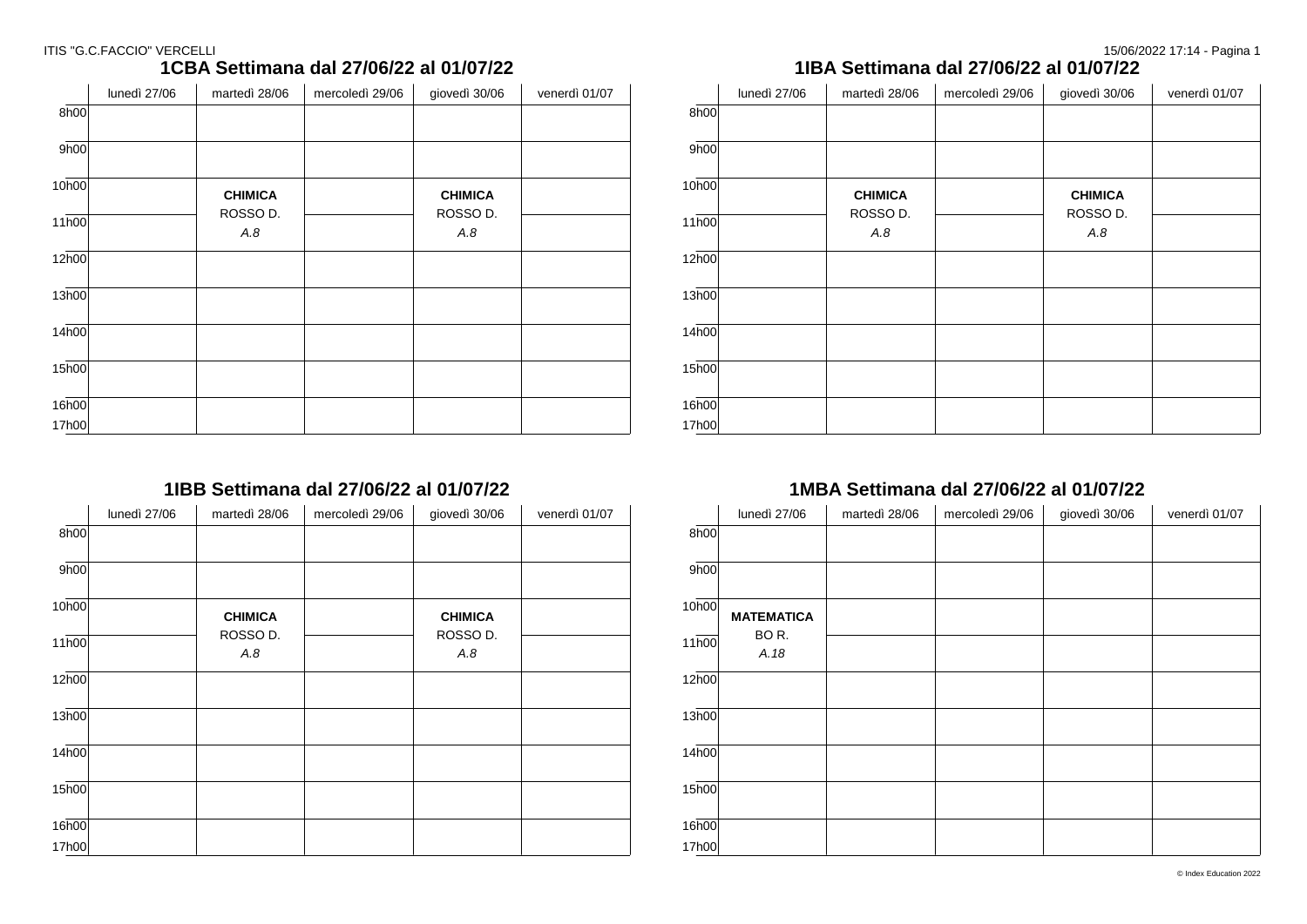### ITIS "G.C.FACCIO" VERCELLI

# **1CBA Settimana dal 27/06/22 al 01/07/22**

|       | lunedì 27/06 | martedì 28/06   | mercoledì 29/06 | giovedì 30/06   | venerdì 01/07 |
|-------|--------------|-----------------|-----------------|-----------------|---------------|
| 8h00  |              |                 |                 |                 |               |
| 9h00  |              |                 |                 |                 |               |
| 10h00 |              | <b>CHIMICA</b>  |                 | <b>CHIMICA</b>  |               |
| 11h00 |              | ROSSO D.<br>A.8 |                 | ROSSO D.<br>A.8 |               |
| 12h00 |              |                 |                 |                 |               |
| 13h00 |              |                 |                 |                 |               |
| 14h00 |              |                 |                 |                 |               |
| 15h00 |              |                 |                 |                 |               |
| 16h00 |              |                 |                 |                 |               |
| 17h00 |              |                 |                 |                 |               |

## **1IBB Settimana dal 27/06/22 al 01/07/22**

|                    | lunedì 27/06 | martedì 28/06   | mercoledì 29/06 | giovedì 30/06   | venerdì 01/07 |
|--------------------|--------------|-----------------|-----------------|-----------------|---------------|
| 8h00               |              |                 |                 |                 |               |
| 9h00               |              |                 |                 |                 |               |
| 10h00              |              | <b>CHIMICA</b>  |                 | <b>CHIMICA</b>  |               |
| $11\overline{h00}$ |              | ROSSO D.<br>A.8 |                 | ROSSO D.<br>A.8 |               |
| 12 <sub>h00</sub>  |              |                 |                 |                 |               |
| 13h00              |              |                 |                 |                 |               |
| 14 <sub>h00</sub>  |              |                 |                 |                 |               |
| 15 <sub>h00</sub>  |              |                 |                 |                 |               |
| 16h00              |              |                 |                 |                 |               |
| 17h00              |              |                 |                 |                 |               |

### **1IBA Settimana dal 27/06/22 al 01/07/22**

|                   | lunedì 27/06 | martedì 28/06   | mercoledì 29/06 | giovedì 30/06   | venerdì 01/07 |
|-------------------|--------------|-----------------|-----------------|-----------------|---------------|
| 8h00              |              |                 |                 |                 |               |
| 9h00              |              |                 |                 |                 |               |
| 10h00             |              | <b>CHIMICA</b>  |                 | <b>CHIMICA</b>  |               |
| 11h00             |              | ROSSO D.<br>A.8 |                 | ROSSO D.<br>A.8 |               |
| 12h00             |              |                 |                 |                 |               |
| 13h00             |              |                 |                 |                 |               |
| 14 <sub>h00</sub> |              |                 |                 |                 |               |
| 15 <sub>h00</sub> |              |                 |                 |                 |               |
| 16h00             |              |                 |                 |                 |               |
| 17h00             |              |                 |                 |                 |               |

### **1MBA Settimana dal 27/06/22 al 01/07/22**

|                   | lunedì 27/06      | martedì 28/06 | mercoledì 29/06 | giovedì 30/06 | venerdì 01/07 |
|-------------------|-------------------|---------------|-----------------|---------------|---------------|
| 8h00              |                   |               |                 |               |               |
| 9h00              |                   |               |                 |               |               |
| 10h00             | <b>MATEMATICA</b> |               |                 |               |               |
| 11 <sub>h00</sub> | BOR.<br>A.18      |               |                 |               |               |
| 12 <sub>h00</sub> |                   |               |                 |               |               |
| 13h00             |                   |               |                 |               |               |
| 14h00             |                   |               |                 |               |               |
| 15h00             |                   |               |                 |               |               |
| 16h00             |                   |               |                 |               |               |
| 17h00             |                   |               |                 |               |               |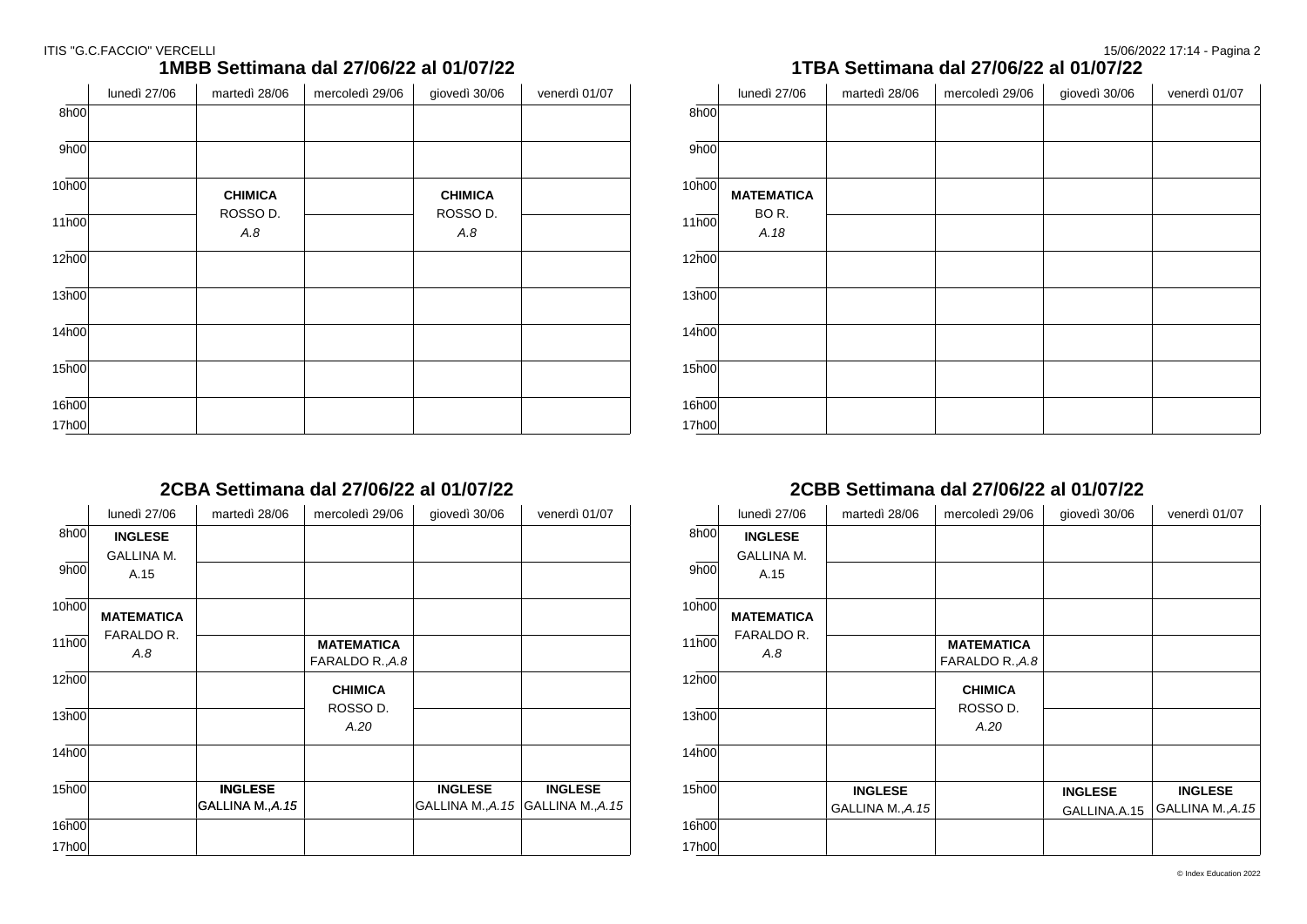#### ITIS "G.C.FACCIO" VERCELLI

| 15/06/2022 17:14 - Pagina 2 |  |  |  |
|-----------------------------|--|--|--|
|-----------------------------|--|--|--|

### **1MBB Settimana dal 27/06/22 al 01/07/22**

|       | lunedì 27/06 | martedì 28/06   | mercoledì 29/06 | giovedì 30/06   | venerdì 01/07 |
|-------|--------------|-----------------|-----------------|-----------------|---------------|
| 8h00  |              |                 |                 |                 |               |
| 9h00  |              |                 |                 |                 |               |
| 10h00 |              | <b>CHIMICA</b>  |                 | <b>CHIMICA</b>  |               |
| 11h00 |              | ROSSO D.<br>A.8 |                 | ROSSO D.<br>A.8 |               |
| 12h00 |              |                 |                 |                 |               |
| 13h00 |              |                 |                 |                 |               |
| 14h00 |              |                 |                 |                 |               |
| 15h00 |              |                 |                 |                 |               |
| 16h00 |              |                 |                 |                 |               |
| 17h00 |              |                 |                 |                 |               |

## **2CBA Settimana dal 27/06/22 al 01/07/22**

|       | lunedì 27/06      | martedì 28/06     | mercoledì 29/06   | giovedì 30/06    | venerdì 01/07     |
|-------|-------------------|-------------------|-------------------|------------------|-------------------|
| 8h00  | <b>INGLESE</b>    |                   |                   |                  |                   |
|       | <b>GALLINA M.</b> |                   |                   |                  |                   |
| 9h00  | A.15              |                   |                   |                  |                   |
| 10h00 | <b>MATEMATICA</b> |                   |                   |                  |                   |
|       | FARALDO R.        |                   |                   |                  |                   |
| 11h00 | A.8               |                   | <b>MATEMATICA</b> |                  |                   |
|       |                   |                   | FARALDO R., A.8   |                  |                   |
| 12h00 |                   |                   | <b>CHIMICA</b>    |                  |                   |
|       |                   |                   | ROSSO D.          |                  |                   |
| 13h00 |                   |                   | A.20              |                  |                   |
| 14h00 |                   |                   |                   |                  |                   |
| 15h00 |                   | <b>INGLESE</b>    |                   | <b>INGLESE</b>   | <b>INGLESE</b>    |
|       |                   | GALLINA M., A. 15 |                   | GALLINA M., A.15 | GALLINA M., A. 15 |
| 16h00 |                   |                   |                   |                  |                   |
| 17h00 |                   |                   |                   |                  |                   |

### **1TBA Settimana dal 27/06/22 al 01/07/22**

|                    | lunedì 27/06      | martedì 28/06 | mercoledì 29/06 | giovedì 30/06 | venerdì 01/07 |
|--------------------|-------------------|---------------|-----------------|---------------|---------------|
| 8h00               |                   |               |                 |               |               |
| 9h00               |                   |               |                 |               |               |
|                    |                   |               |                 |               |               |
| 10h00              | <b>MATEMATICA</b> |               |                 |               |               |
|                    | BOR.              |               |                 |               |               |
| 11h00              | A.18              |               |                 |               |               |
| 12h00              |                   |               |                 |               |               |
|                    |                   |               |                 |               |               |
| 13h00              |                   |               |                 |               |               |
| 14 <sub>h00</sub>  |                   |               |                 |               |               |
|                    |                   |               |                 |               |               |
| $15\overline{h00}$ |                   |               |                 |               |               |
| 16h00              |                   |               |                 |               |               |
| 17h00              |                   |               |                 |               |               |

### **2CBB Settimana dal 27/06/22 al 01/07/22**

|       | lunedì 27/06      | martedì 28/06     | mercoledì 29/06   | giovedì 30/06  | venerdì 01/07     |
|-------|-------------------|-------------------|-------------------|----------------|-------------------|
| 8h00  | <b>INGLESE</b>    |                   |                   |                |                   |
|       | <b>GALLINA M.</b> |                   |                   |                |                   |
| 9h00  | A.15              |                   |                   |                |                   |
| 10h00 |                   |                   |                   |                |                   |
|       | <b>MATEMATICA</b> |                   |                   |                |                   |
| 11h00 | FARALDO R.        |                   | <b>MATEMATICA</b> |                |                   |
|       | A.8               |                   | FARALDO R., A.8   |                |                   |
| 12h00 |                   |                   | <b>CHIMICA</b>    |                |                   |
|       |                   |                   | ROSSO D.          |                |                   |
| 13h00 |                   |                   | A.20              |                |                   |
|       |                   |                   |                   |                |                   |
| 14h00 |                   |                   |                   |                |                   |
| 15h00 |                   | <b>INGLESE</b>    |                   | <b>INGLESE</b> | <b>INGLESE</b>    |
|       |                   | GALLINA M., A. 15 |                   | GALLINA.A.15   | GALLINA M., A. 15 |
| 16h00 |                   |                   |                   |                |                   |
| 17h00 |                   |                   |                   |                |                   |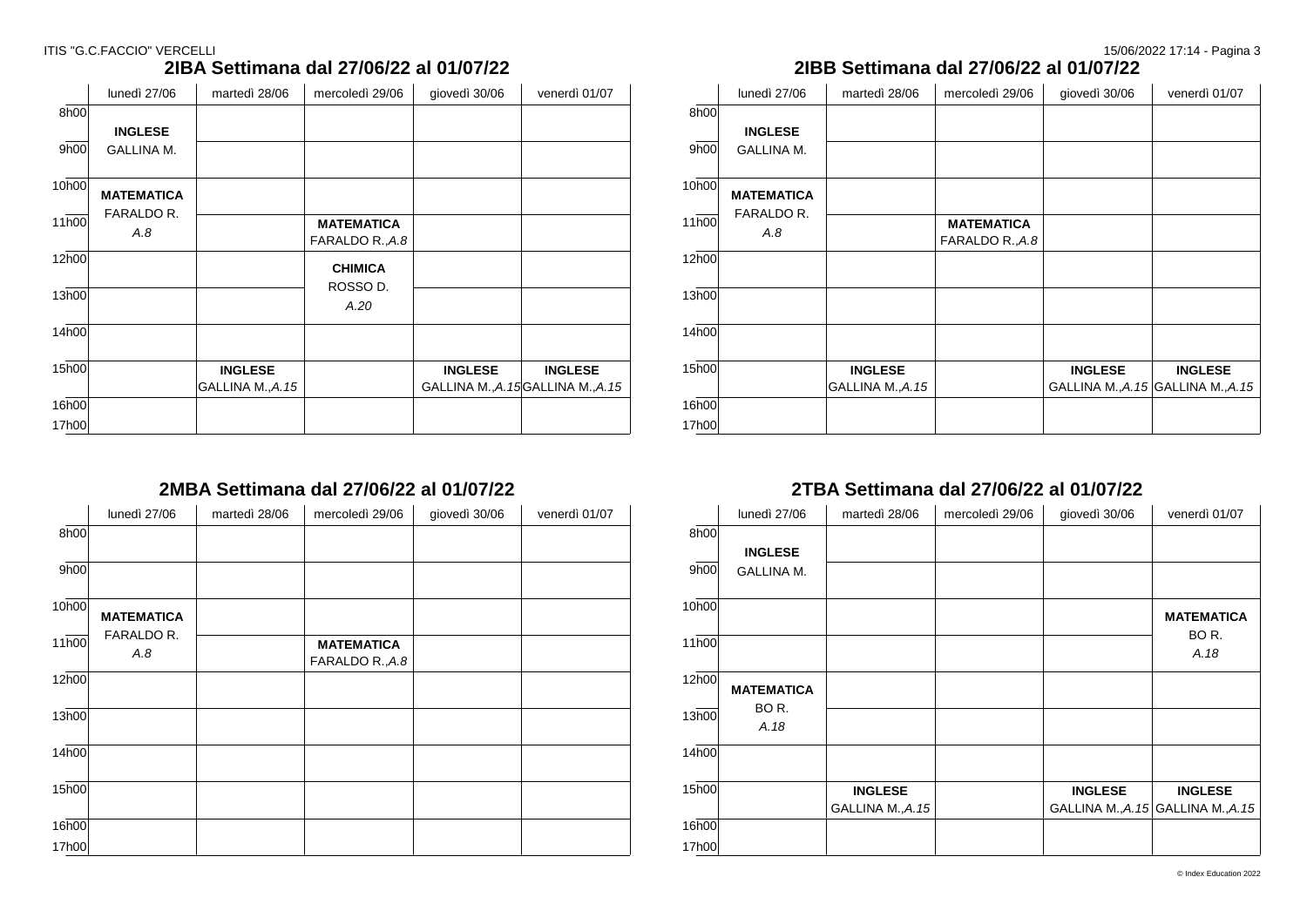|       | lunedì 27/06      | martedì 28/06    | mercoledì 29/06   | giovedì 30/06  | venerdì 01/07                      |
|-------|-------------------|------------------|-------------------|----------------|------------------------------------|
| 8h00  |                   |                  |                   |                |                                    |
|       | <b>INGLESE</b>    |                  |                   |                |                                    |
| 9h00  | <b>GALLINA M.</b> |                  |                   |                |                                    |
| 10h00 | <b>MATEMATICA</b> |                  |                   |                |                                    |
| 11h00 | FARALDO R.        |                  | <b>MATEMATICA</b> |                |                                    |
|       | A.8               |                  | FARALDO R., A.8   |                |                                    |
| 12h00 |                   |                  | <b>CHIMICA</b>    |                |                                    |
|       |                   |                  | ROSSO D.          |                |                                    |
| 13h00 |                   |                  | A.20              |                |                                    |
|       |                   |                  |                   |                |                                    |
| 14h00 |                   |                  |                   |                |                                    |
| 15h00 |                   | <b>INGLESE</b>   |                   | <b>INGLESE</b> | <b>INGLESE</b>                     |
|       |                   | GALLINA M., A.15 |                   |                | GALLINA M., A. 15GALLINA M., A. 15 |
| 16h00 |                   |                  |                   |                |                                    |
| 17h00 |                   |                  |                   |                |                                    |

### **2IBA Settimana dal 27/06/22 al 01/07/22**

### **2IBB Settimana dal 27/06/22 al 01/07/22**

|       | lunedì 27/06      | martedì 28/06     | mercoledì 29/06   | giovedì 30/06  | venerdì 01/07                       |
|-------|-------------------|-------------------|-------------------|----------------|-------------------------------------|
| 8h00  |                   |                   |                   |                |                                     |
|       | <b>INGLESE</b>    |                   |                   |                |                                     |
| 9h00  | <b>GALLINA M.</b> |                   |                   |                |                                     |
|       |                   |                   |                   |                |                                     |
| 10h00 | <b>MATEMATICA</b> |                   |                   |                |                                     |
|       | FARALDO R.        |                   |                   |                |                                     |
| 11h00 | A.8               |                   | <b>MATEMATICA</b> |                |                                     |
|       |                   |                   | FARALDO R., A.8   |                |                                     |
| 12h00 |                   |                   |                   |                |                                     |
|       |                   |                   |                   |                |                                     |
| 13h00 |                   |                   |                   |                |                                     |
|       |                   |                   |                   |                |                                     |
| 14h00 |                   |                   |                   |                |                                     |
|       |                   |                   |                   |                |                                     |
| 15h00 |                   | <b>INGLESE</b>    |                   | <b>INGLESE</b> | <b>INGLESE</b>                      |
|       |                   | GALLINA M., A. 15 |                   |                | GALLINA M., A. 15 GALLINA M., A. 15 |
| 16h00 |                   |                   |                   |                |                                     |
| 17h00 |                   |                   |                   |                |                                     |

## **2MBA Settimana dal 27/06/22 al 01/07/22**

|                    | lunedì 27/06      | martedì 28/06 | mercoledì 29/06                      | giovedì 30/06 | venerdì 01/07 |
|--------------------|-------------------|---------------|--------------------------------------|---------------|---------------|
| 8h00               |                   |               |                                      |               |               |
| 9h00               |                   |               |                                      |               |               |
| 10h00              | <b>MATEMATICA</b> |               |                                      |               |               |
| $11\overline{h00}$ | FARALDO R.<br>A.8 |               | <b>MATEMATICA</b><br>FARALDO R., A.8 |               |               |
| 12h00              |                   |               |                                      |               |               |
| 13h00              |                   |               |                                      |               |               |
| 14h00              |                   |               |                                      |               |               |
| 15h00              |                   |               |                                      |               |               |
| 16h00              |                   |               |                                      |               |               |
| 17h00              |                   |               |                                      |               |               |

### **2TBA Settimana dal 27/06/22 al 01/07/22**

|       | lunedì 27/06      | martedì 28/06     | mercoledì 29/06 | giovedì 30/06  | venerdì 01/07                       |
|-------|-------------------|-------------------|-----------------|----------------|-------------------------------------|
| 8h00  |                   |                   |                 |                |                                     |
|       | <b>INGLESE</b>    |                   |                 |                |                                     |
| 9h00  | <b>GALLINA M.</b> |                   |                 |                |                                     |
|       |                   |                   |                 |                |                                     |
| 10h00 |                   |                   |                 |                | <b>MATEMATICA</b>                   |
|       |                   |                   |                 |                | BOR.                                |
| 11h00 |                   |                   |                 |                | A.18                                |
| 12h00 |                   |                   |                 |                |                                     |
|       | <b>MATEMATICA</b> |                   |                 |                |                                     |
| 13h00 | BOR.              |                   |                 |                |                                     |
|       | A.18              |                   |                 |                |                                     |
| 14h00 |                   |                   |                 |                |                                     |
|       |                   |                   |                 |                |                                     |
| 15h00 |                   | <b>INGLESE</b>    |                 | <b>INGLESE</b> | <b>INGLESE</b>                      |
|       |                   | GALLINA M., A. 15 |                 |                | GALLINA M., A. 15 GALLINA M., A. 15 |
| 16h00 |                   |                   |                 |                |                                     |
| 17h00 |                   |                   |                 |                |                                     |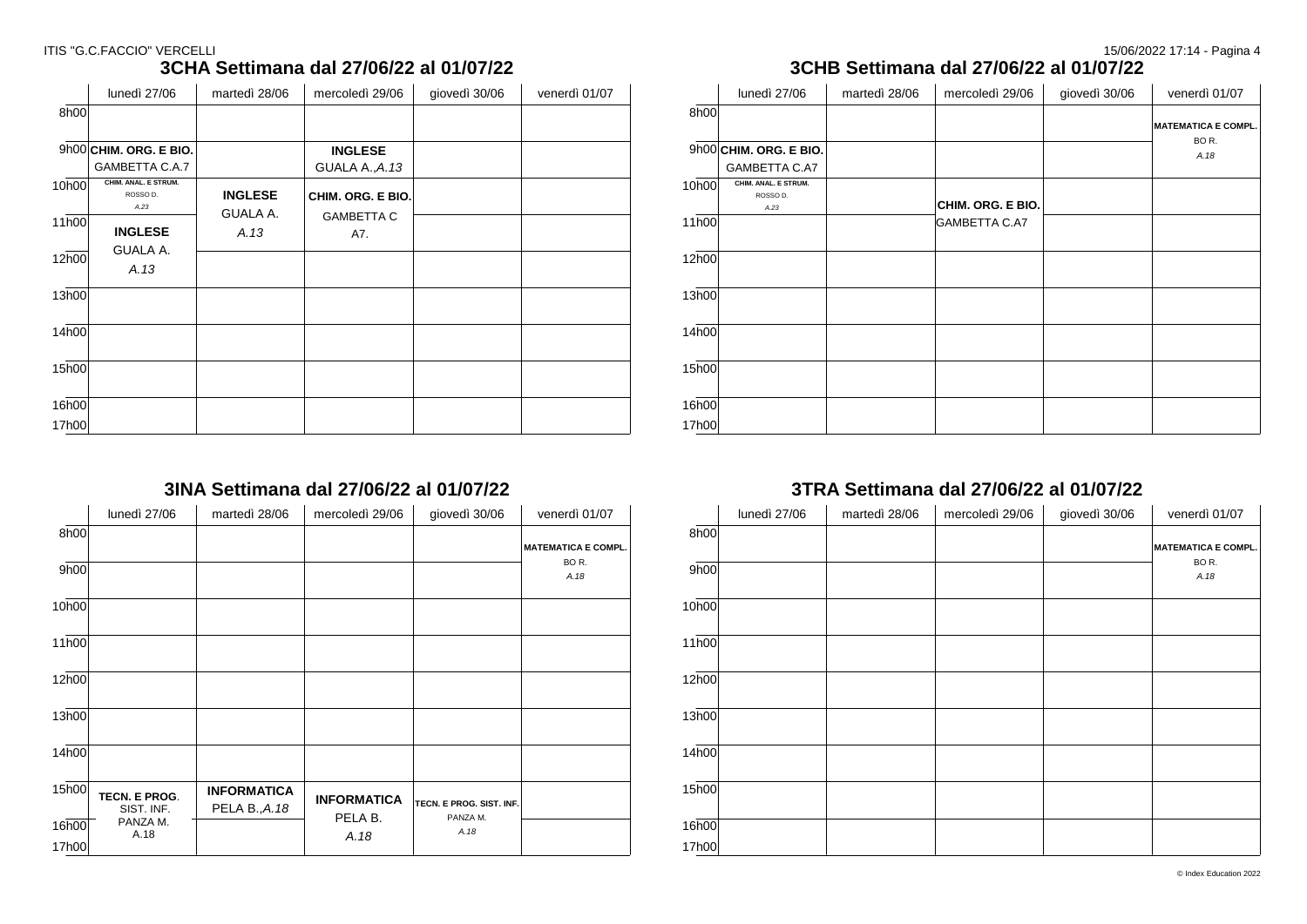### ITIS "G.C.FACCIO" VERCELLI 20022 17:14 - Pagina 4

### **3CHA Settimana dal 27/06/22 al 01/07/22**

|       | lunedì 27/06             | martedì 28/06  | mercoledì 29/06   | giovedì 30/06 | venerdì 01/07 |
|-------|--------------------------|----------------|-------------------|---------------|---------------|
| 8h00  |                          |                |                   |               |               |
|       |                          |                |                   |               |               |
|       | $9h00$ CHIM. ORG. E BIO. |                | <b>INGLESE</b>    |               |               |
|       | GAMBETTA C.A.7           |                | GUALA A., A.13    |               |               |
| 10h00 | CHIM. ANAL. E STRUM.     |                |                   |               |               |
|       | ROSSO D.<br>A.23         | <b>INGLESE</b> | CHIM. ORG. E BIO. |               |               |
| 11h00 |                          | GUALA A.       | <b>GAMBETTA C</b> |               |               |
|       | <b>INGLESE</b>           | A.13           | A7.               |               |               |
| 12h00 | GUALA A.                 |                |                   |               |               |
|       | A.13                     |                |                   |               |               |
| 13h00 |                          |                |                   |               |               |
| 14h00 |                          |                |                   |               |               |
| 15h00 |                          |                |                   |               |               |
| 16h00 |                          |                |                   |               |               |
| 17h00 |                          |                |                   |               |               |

### **3INA Settimana dal 27/06/22 al 01/07/22**

|       | lunedì 27/06                | martedì 28/06                       | mercoledì 29/06    | giovedì 30/06            | venerdì 01/07                                 |
|-------|-----------------------------|-------------------------------------|--------------------|--------------------------|-----------------------------------------------|
| 8h00  |                             |                                     |                    |                          |                                               |
|       |                             |                                     |                    |                          | <b>MATEMATICA E COMPL.</b><br>BO <sub>R</sub> |
| 9h00  |                             |                                     |                    |                          | A.18                                          |
| 10h00 |                             |                                     |                    |                          |                                               |
| 11h00 |                             |                                     |                    |                          |                                               |
| 12h00 |                             |                                     |                    |                          |                                               |
| 13h00 |                             |                                     |                    |                          |                                               |
| 14h00 |                             |                                     |                    |                          |                                               |
| 15h00 | TECN. E PROG.<br>SIST. INF. | <b>INFORMATICA</b><br>PELA B., A.18 | <b>INFORMATICA</b> | TECN. E PROG. SIST. INF. |                                               |
| 16h00 | PANZA M.<br>A.18            |                                     | PELA B.            | PANZA M.<br>A.18         |                                               |
| 17h00 |                             |                                     | A.18               |                          |                                               |

| 3CHB Settimana dal 27/06/22 al 01/07/22 |                                          |               |                      |               |                                               |  |  |  |
|-----------------------------------------|------------------------------------------|---------------|----------------------|---------------|-----------------------------------------------|--|--|--|
|                                         | lunedì 27/06                             | martedì 28/06 | mercoledì 29/06      | giovedì 30/06 | venerdì 01/07                                 |  |  |  |
| 8h00                                    |                                          |               |                      |               | <b>MATEMATICA E COMPL.</b><br>BO <sub>R</sub> |  |  |  |
|                                         | $9h00$ CHIM. ORG. E BIO.                 |               |                      |               | A.18                                          |  |  |  |
|                                         | GAMBETTA C.A7                            |               |                      |               |                                               |  |  |  |
| 10h00                                   | CHIM. ANAL. E STRUM.<br>ROSSO D.<br>A.23 |               | CHIM. ORG. E BIO.    |               |                                               |  |  |  |
| 11h00                                   |                                          |               | <b>GAMBETTA C.A7</b> |               |                                               |  |  |  |
| 12h00                                   |                                          |               |                      |               |                                               |  |  |  |
| 13h00                                   |                                          |               |                      |               |                                               |  |  |  |
| 14h00                                   |                                          |               |                      |               |                                               |  |  |  |
| 15h00                                   |                                          |               |                      |               |                                               |  |  |  |
| 16h00                                   |                                          |               |                      |               |                                               |  |  |  |
| 17h00                                   |                                          |               |                      |               |                                               |  |  |  |

### **3TRA Settimana dal 27/06/22 al 01/07/22**

|                   | lunedì 27/06 | martedì 28/06 | mercoledì 29/06 | giovedì 30/06 | venerdì 01/07              |
|-------------------|--------------|---------------|-----------------|---------------|----------------------------|
| 8h00              |              |               |                 |               | <b>MATEMATICA E COMPL.</b> |
| 9h00              |              |               |                 |               | BOR.<br>A.18               |
| 10h00             |              |               |                 |               |                            |
| 11h00             |              |               |                 |               |                            |
| 12h00             |              |               |                 |               |                            |
| 13h00             |              |               |                 |               |                            |
| 14h00             |              |               |                 |               |                            |
| 15h00             |              |               |                 |               |                            |
| 16 <sub>h00</sub> |              |               |                 |               |                            |
| 17h00             |              |               |                 |               |                            |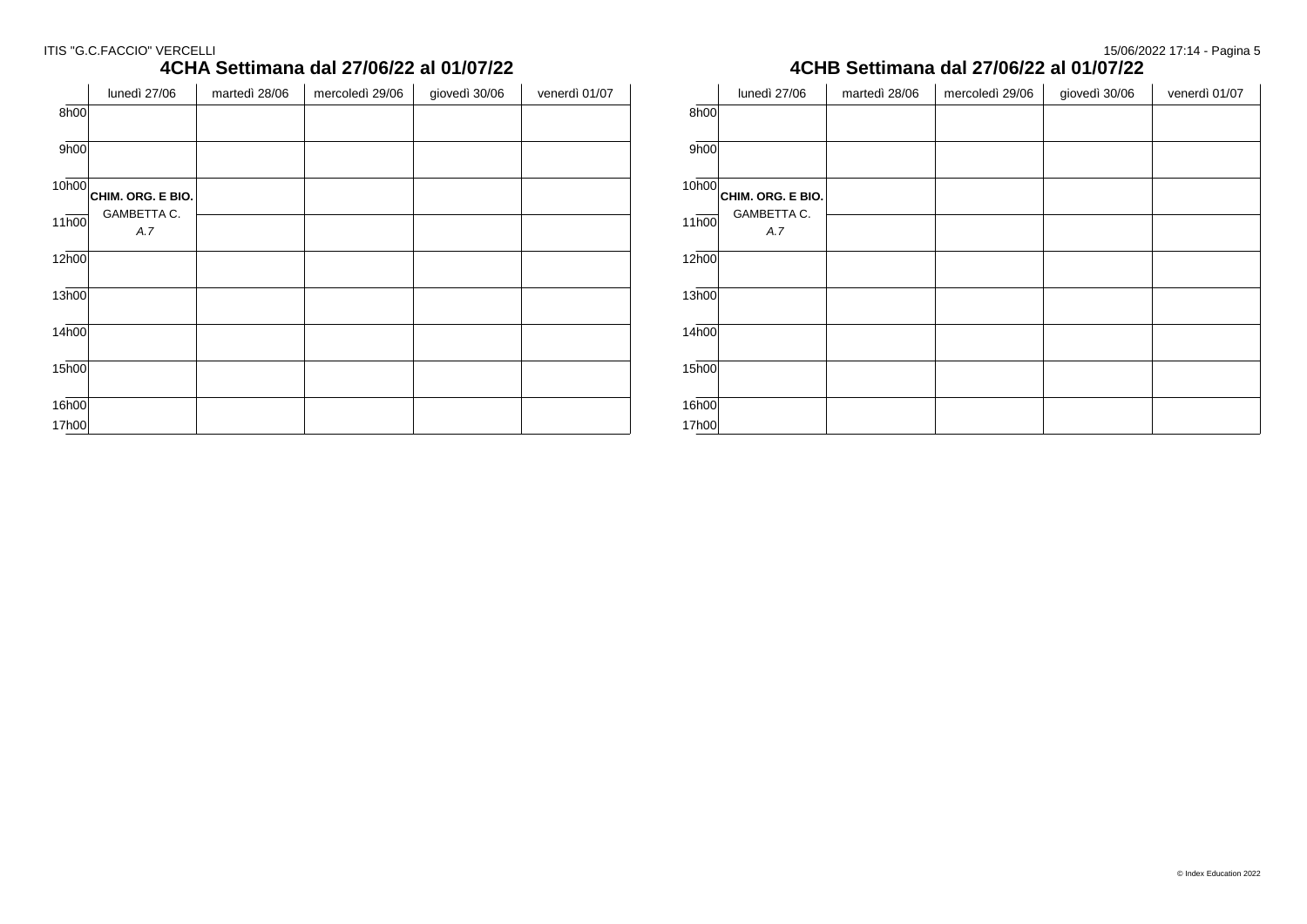#### ITIS "G.C.FACCIO" VERCELLI 15/06/2022 17:14 - Pagina 5

# **4CHA Settimana dal 27/06/22 al 01/07/22**

|       | lunedì 27/06       | martedì 28/06 | mercoledì 29/06 | giovedì 30/06 | venerdì 01/07 |
|-------|--------------------|---------------|-----------------|---------------|---------------|
| 8h00  |                    |               |                 |               |               |
| 9h00  |                    |               |                 |               |               |
| 10h00 | CHIM. ORG. E BIO.  |               |                 |               |               |
| 11h00 | GAMBETTA C.<br>A.7 |               |                 |               |               |
| 12h00 |                    |               |                 |               |               |
| 13h00 |                    |               |                 |               |               |
| 14h00 |                    |               |                 |               |               |
| 15h00 |                    |               |                 |               |               |
| 16h00 |                    |               |                 |               |               |
| 17h00 |                    |               |                 |               |               |

### **4CHB Settimana dal 27/06/22 al 01/07/22**

|       | lunedì 27/06              | martedì 28/06 | mercoledì 29/06 | giovedì 30/06 | venerdì 01/07 |
|-------|---------------------------|---------------|-----------------|---------------|---------------|
| 8h00  |                           |               |                 |               |               |
| 9h00  |                           |               |                 |               |               |
| 10h00 | CHIM. ORG. E BIO.         |               |                 |               |               |
| 11h00 | <b>GAMBETTA C.</b><br>A.7 |               |                 |               |               |
| 12h00 |                           |               |                 |               |               |
| 13h00 |                           |               |                 |               |               |
| 14h00 |                           |               |                 |               |               |
| 15h00 |                           |               |                 |               |               |
| 16h00 |                           |               |                 |               |               |
| 17h00 |                           |               |                 |               |               |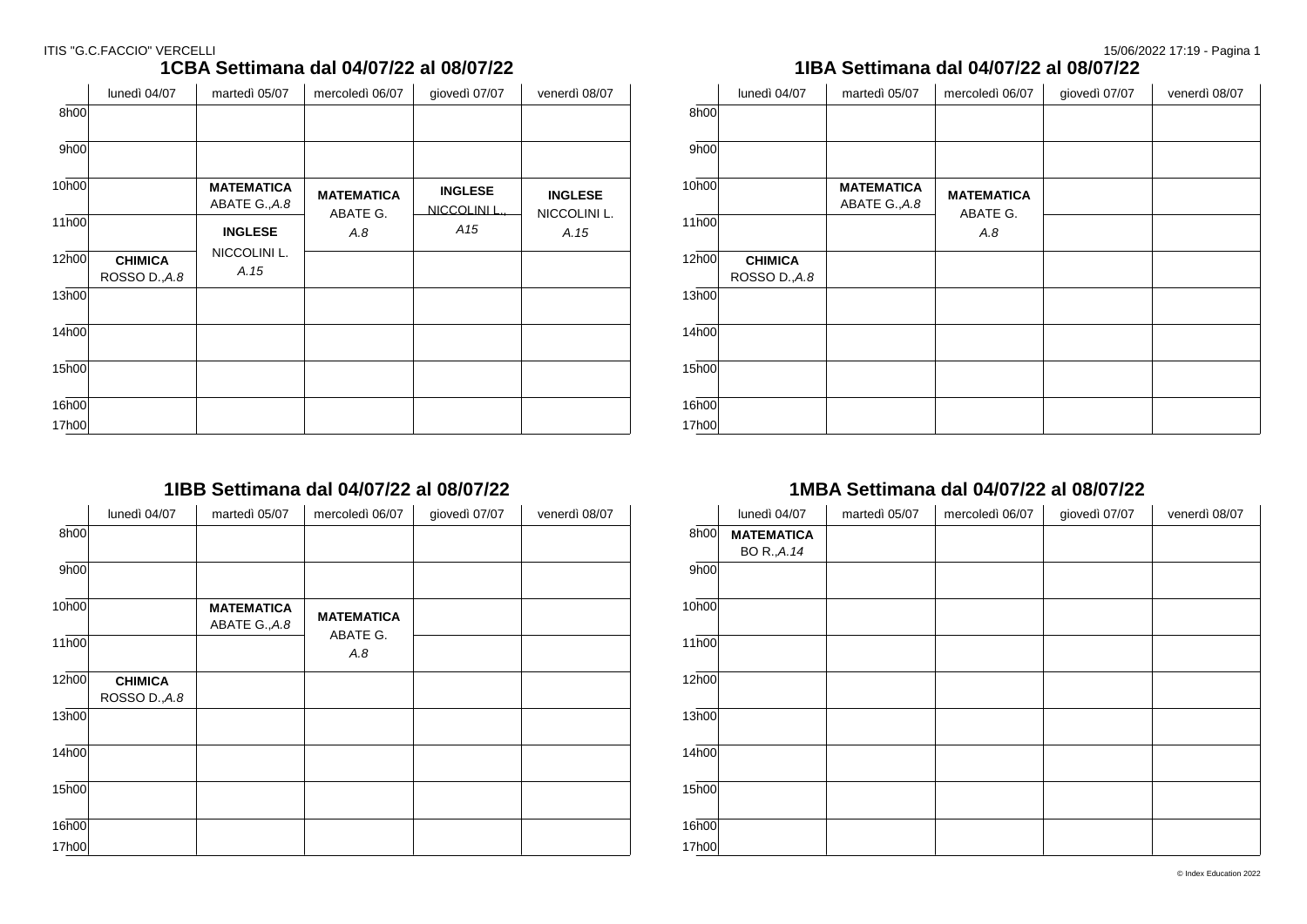| 1IBA Settimana dal 04/07/22 al                |
|-----------------------------------------------|
| martedì 05/07 mercoledì 06/07<br>$\mathsf{q}$ |
|                                               |
|                                               |

### **1CBA Settimana dal 04/07/22 al 08/07/22**

|       | lunedì 04/07                    | martedì 05/07                      | mercoledì 06/07   | giovedì 07/07                 | venerdì 08/07        |
|-------|---------------------------------|------------------------------------|-------------------|-------------------------------|----------------------|
| 8h00  |                                 |                                    |                   |                               |                      |
| 9h00  |                                 |                                    |                   |                               |                      |
| 10h00 |                                 | <b>MATEMATICA</b><br>ABATE G., A.8 | <b>MATEMATICA</b> | <b>INGLESE</b><br>NICCOLINI L | <b>INGLESE</b>       |
| 11h00 |                                 | <b>INGLESE</b>                     | ABATE G.<br>A.8   | A <sub>15</sub>               | NICCOLINI L.<br>A.15 |
| 12h00 | <b>CHIMICA</b><br>ROSSO D., A.8 | NICCOLINI L.<br>A.15               |                   |                               |                      |
| 13h00 |                                 |                                    |                   |                               |                      |
| 14h00 |                                 |                                    |                   |                               |                      |
| 15h00 |                                 |                                    |                   |                               |                      |
| 16h00 |                                 |                                    |                   |                               |                      |
| 17h00 |                                 |                                    |                   |                               |                      |

### **1IBB Settimana dal 04/07/22 al 08/07/22**

|       | lunedì 04/07                    | martedì 05/07                      | mercoledì 06/07   | giovedì 07/07 | venerdì 08/07 |
|-------|---------------------------------|------------------------------------|-------------------|---------------|---------------|
| 8h00  |                                 |                                    |                   |               |               |
| 9h00  |                                 |                                    |                   |               |               |
| 10h00 |                                 | <b>MATEMATICA</b><br>ABATE G., A.8 | <b>MATEMATICA</b> |               |               |
| 11h00 |                                 |                                    | ABATE G.<br>A.8   |               |               |
| 12h00 | <b>CHIMICA</b><br>ROSSO D., A.8 |                                    |                   |               |               |
| 13h00 |                                 |                                    |                   |               |               |
| 14h00 |                                 |                                    |                   |               |               |
| 15h00 |                                 |                                    |                   |               |               |
| 16h00 |                                 |                                    |                   |               |               |
| 17h00 |                                 |                                    |                   |               |               |

### $\mu$ iovedì 07/07  $\parallel$  venerdì 08/07 8h00 9h00 10h00 11h00  $12<sub>h00</sub>$ 13h00 14h00 15h00 16h00 17h00 **CHIMICA** ROSSO D.,*A.8* MATEMATICA MATEMATICA **ABATE G., A.8** ABATE G. *A.8*

### **1MBA Settimana dal 04/07/22 al 08/07/22**

|                   | lunedì 04/07      | martedì 05/07 | mercoledì 06/07 | giovedì 07/07 | venerdì 08/07 |
|-------------------|-------------------|---------------|-----------------|---------------|---------------|
| 8h00              | <b>MATEMATICA</b> |               |                 |               |               |
|                   | BO R., A.14       |               |                 |               |               |
| 9h00              |                   |               |                 |               |               |
| 10h00             |                   |               |                 |               |               |
| 11h00             |                   |               |                 |               |               |
| 12 <sub>h00</sub> |                   |               |                 |               |               |
| 13h00             |                   |               |                 |               |               |
| 14 <sub>h00</sub> |                   |               |                 |               |               |
| 15 <sub>h00</sub> |                   |               |                 |               |               |
| 16h00             |                   |               |                 |               |               |
| 17h00             |                   |               |                 |               |               |

# **1IBA Settimana dal 04/07/22 al 08/07/22**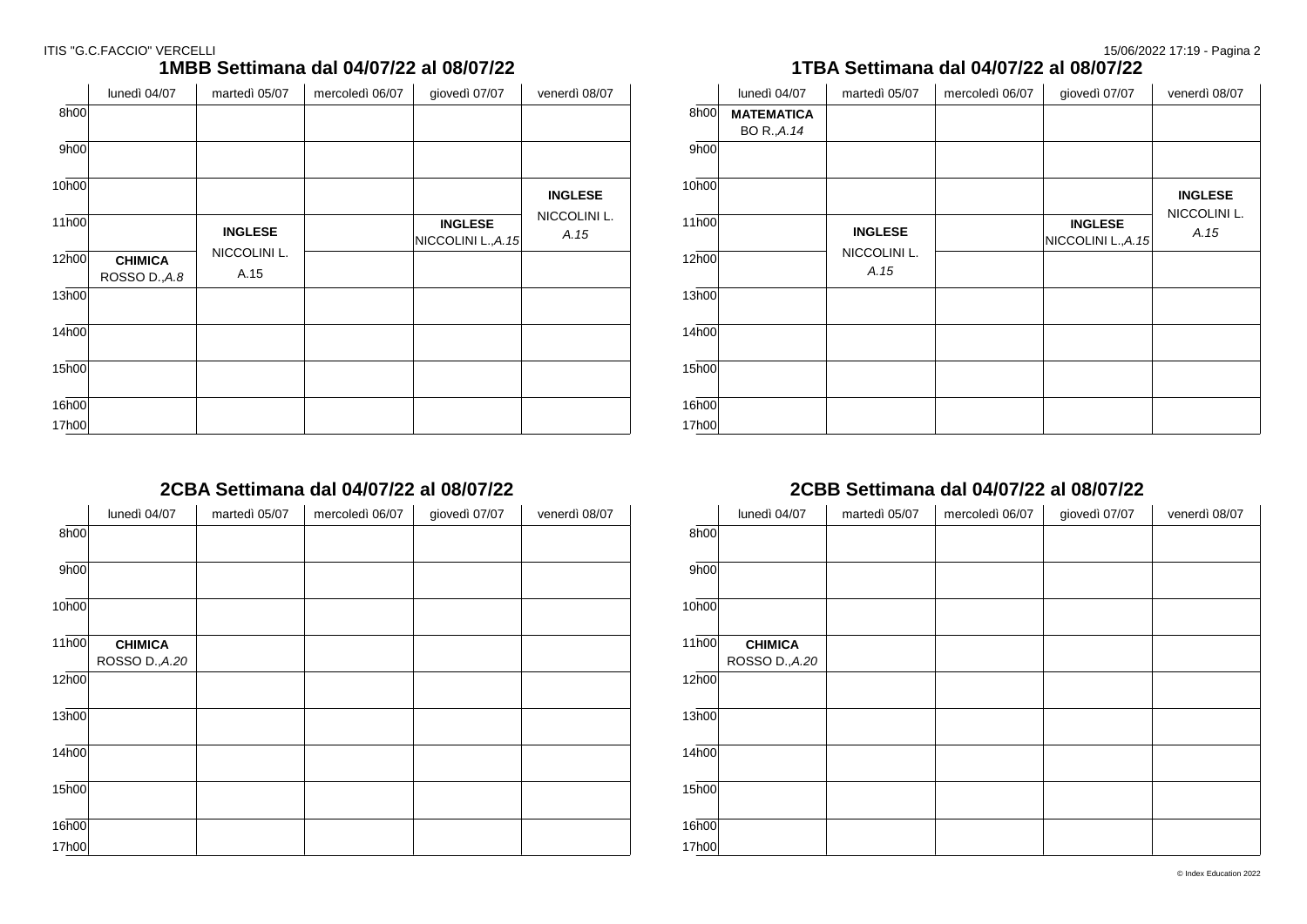| ITIS "G.C.FACCIO" VERCELLI |  | 15/06/2022 17:19 - Pagina 2 |
|----------------------------|--|-----------------------------|
|                            |  |                             |

### **1MBB Settimana dal 04/07/22 al 08/07/22**

|       | lunedì 04/07                    | martedì 05/07        | mercoledì 06/07 | giovedì 07/07                         | venerdì 08/07        |
|-------|---------------------------------|----------------------|-----------------|---------------------------------------|----------------------|
| 8h00  |                                 |                      |                 |                                       |                      |
| 9h00  |                                 |                      |                 |                                       |                      |
| 10h00 |                                 |                      |                 |                                       | <b>INGLESE</b>       |
| 11h00 |                                 | <b>INGLESE</b>       |                 | <b>INGLESE</b><br>NICCOLINI L., A. 15 | NICCOLINI L.<br>A.15 |
| 12h00 | <b>CHIMICA</b><br>ROSSO D., A.8 | NICCOLINI L.<br>A.15 |                 |                                       |                      |
| 13h00 |                                 |                      |                 |                                       |                      |
| 14h00 |                                 |                      |                 |                                       |                      |
| 15h00 |                                 |                      |                 |                                       |                      |
| 16h00 |                                 |                      |                 |                                       |                      |
| 17h00 |                                 |                      |                 |                                       |                      |

### **2CBA Settimana dal 04/07/22 al 08/07/22**

|       | lunedì 04/07                     | martedì 05/07 | mercoledì 06/07 | giovedì 07/07 | venerdì 08/07 |
|-------|----------------------------------|---------------|-----------------|---------------|---------------|
| 8h00  |                                  |               |                 |               |               |
| 9h00  |                                  |               |                 |               |               |
| 10h00 |                                  |               |                 |               |               |
| 11h00 | <b>CHIMICA</b><br>ROSSO D., A.20 |               |                 |               |               |
| 12h00 |                                  |               |                 |               |               |
| 13h00 |                                  |               |                 |               |               |
| 14h00 |                                  |               |                 |               |               |
| 15h00 |                                  |               |                 |               |               |
| 16h00 |                                  |               |                 |               |               |
| 17h00 |                                  |               |                 |               |               |

### **1TBA Settimana dal 04/07/22 al 08/07/22**

|       | lunedì 04/07      | martedì 05/07        | mercoledì 06/07 | giovedì 07/07                         | venerdì 08/07        |  |
|-------|-------------------|----------------------|-----------------|---------------------------------------|----------------------|--|
| 8h00  | <b>MATEMATICA</b> |                      |                 |                                       |                      |  |
|       | BO R., A.14       |                      |                 |                                       |                      |  |
| 9h00  |                   |                      |                 |                                       |                      |  |
| 10h00 |                   |                      |                 |                                       | <b>INGLESE</b>       |  |
| 11h00 |                   | <b>INGLESE</b>       |                 | <b>INGLESE</b><br>NICCOLINI L., A. 15 | NICCOLINI L.<br>A.15 |  |
| 12h00 |                   | NICCOLINI L.<br>A.15 |                 |                                       |                      |  |
| 13h00 |                   |                      |                 |                                       |                      |  |
| 14h00 |                   |                      |                 |                                       |                      |  |
| 15h00 |                   |                      |                 |                                       |                      |  |
| 16h00 |                   |                      |                 |                                       |                      |  |
| 17h00 |                   |                      |                 |                                       |                      |  |

### **2CBB Settimana dal 04/07/22 al 08/07/22**

|       | lunedì 04/07   | martedì 05/07 | mercoledì 06/07 | giovedì 07/07 | venerdì 08/07 |
|-------|----------------|---------------|-----------------|---------------|---------------|
| 8h00  |                |               |                 |               |               |
| 9h00  |                |               |                 |               |               |
|       |                |               |                 |               |               |
| 10h00 |                |               |                 |               |               |
| 11h00 | <b>CHIMICA</b> |               |                 |               |               |
|       | ROSSO D., A.20 |               |                 |               |               |
| 12h00 |                |               |                 |               |               |
| 13h00 |                |               |                 |               |               |
| 14h00 |                |               |                 |               |               |
| 15h00 |                |               |                 |               |               |
| 16h00 |                |               |                 |               |               |
| 17h00 |                |               |                 |               |               |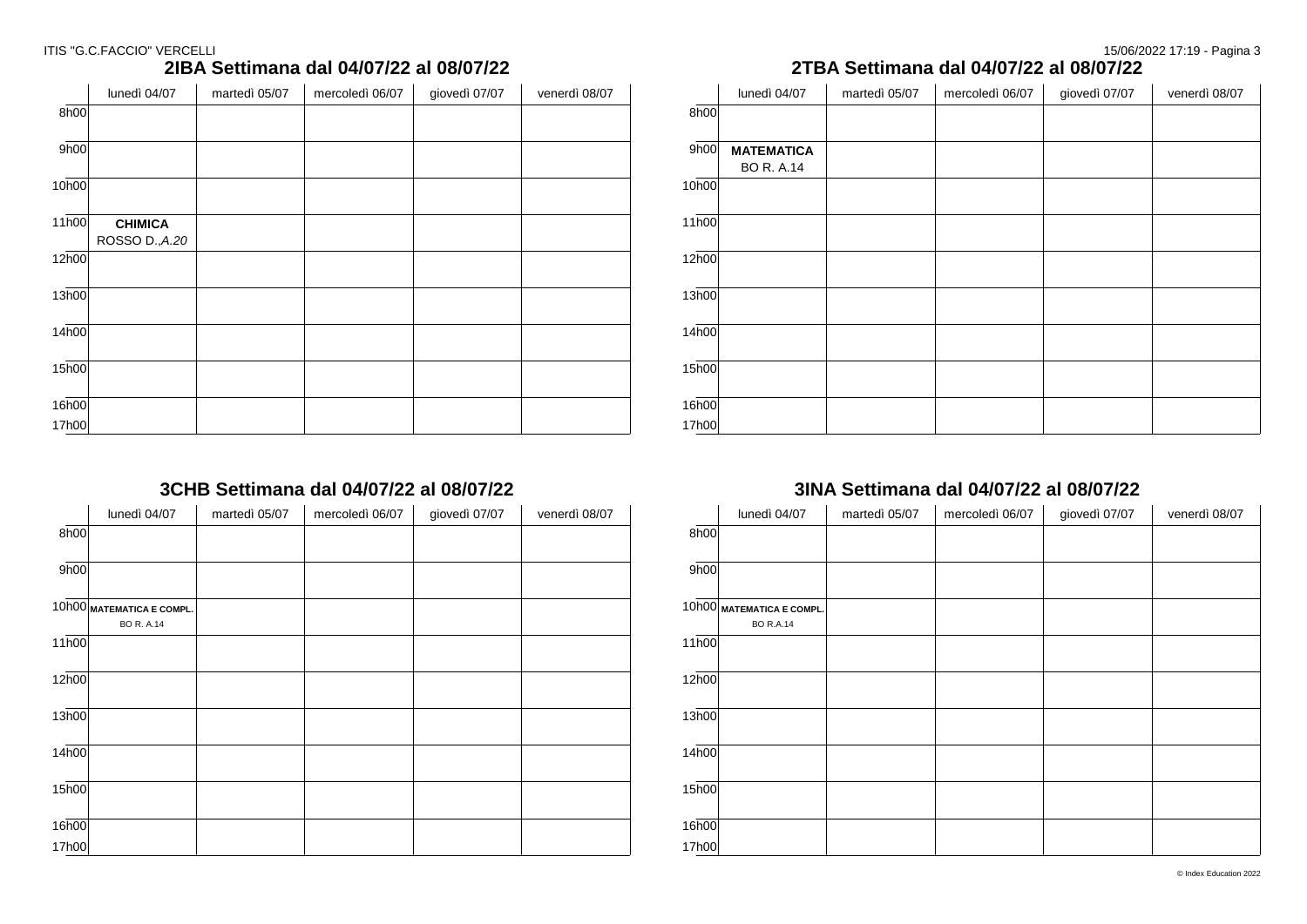### ITIS "G.C.FACCIO" VERCELLI 20022 17:19 - Pagina 3

### **2IBA Settimana dal 04/07/22 al 08/07/22**

|                    | lunedì 04/07   | martedì 05/07 | mercoledì 06/07 | giovedì 07/07 | venerdì 08/07 |
|--------------------|----------------|---------------|-----------------|---------------|---------------|
| 8h00               |                |               |                 |               |               |
| 9h00               |                |               |                 |               |               |
| 10h00              |                |               |                 |               |               |
| $11\overline{h00}$ | <b>CHIMICA</b> |               |                 |               |               |
| 12h00              | ROSSO D., A.20 |               |                 |               |               |
| 13h00              |                |               |                 |               |               |
| 14h00              |                |               |                 |               |               |
|                    |                |               |                 |               |               |
| 15h00              |                |               |                 |               |               |
| 16h00              |                |               |                 |               |               |
| 17h00              |                |               |                 |               |               |

### **3CHB Settimana dal 04/07/22 al 08/07/22**

|       | lunedì 04/07                                   | martedì 05/07 | mercoledì 06/07 | giovedì 07/07 | venerdì 08/07 |
|-------|------------------------------------------------|---------------|-----------------|---------------|---------------|
| 8h00  |                                                |               |                 |               |               |
| 9h00  |                                                |               |                 |               |               |
|       | 10h00 MATEMATICA E COMPL.<br><b>BO R. A.14</b> |               |                 |               |               |
| 11h00 |                                                |               |                 |               |               |
| 12h00 |                                                |               |                 |               |               |
| 13h00 |                                                |               |                 |               |               |
| 14h00 |                                                |               |                 |               |               |
| 15h00 |                                                |               |                 |               |               |
| 16h00 |                                                |               |                 |               |               |
| 17h00 |                                                |               |                 |               |               |

### **2TBA Settimana dal 04/07/22 al 08/07/22**

|                    | lunedì 04/07      | martedì 05/07 | mercoledì 06/07 | giovedì 07/07 | venerdì 08/07 |
|--------------------|-------------------|---------------|-----------------|---------------|---------------|
| 8h00               |                   |               |                 |               |               |
|                    |                   |               |                 |               |               |
| 9h00               | <b>MATEMATICA</b> |               |                 |               |               |
|                    | <b>BO R. A.14</b> |               |                 |               |               |
| 10h00              |                   |               |                 |               |               |
|                    |                   |               |                 |               |               |
| $11\overline{h00}$ |                   |               |                 |               |               |
|                    |                   |               |                 |               |               |
| 12h00              |                   |               |                 |               |               |
|                    |                   |               |                 |               |               |
| 13h00              |                   |               |                 |               |               |
|                    |                   |               |                 |               |               |
| 14 <sub>h00</sub>  |                   |               |                 |               |               |
|                    |                   |               |                 |               |               |
| $15\overline{h00}$ |                   |               |                 |               |               |
|                    |                   |               |                 |               |               |
| 16h00              |                   |               |                 |               |               |
| 17h00              |                   |               |                 |               |               |

### **3INA Settimana dal 04/07/22 al 08/07/22**

|                    | lunedì 04/07                                  | martedì 05/07 | mercoledì 06/07 | giovedì 07/07 | venerdì 08/07 |
|--------------------|-----------------------------------------------|---------------|-----------------|---------------|---------------|
| 8h00               |                                               |               |                 |               |               |
| 9h00               |                                               |               |                 |               |               |
|                    | 10h00 MATEMATICA E COMPL.<br><b>BO R.A.14</b> |               |                 |               |               |
| 11h00              |                                               |               |                 |               |               |
| 12 <sub>h00</sub>  |                                               |               |                 |               |               |
| 13h00              |                                               |               |                 |               |               |
| 14h00              |                                               |               |                 |               |               |
| $15\overline{h00}$ |                                               |               |                 |               |               |
| 16h00              |                                               |               |                 |               |               |
| 17h00              |                                               |               |                 |               |               |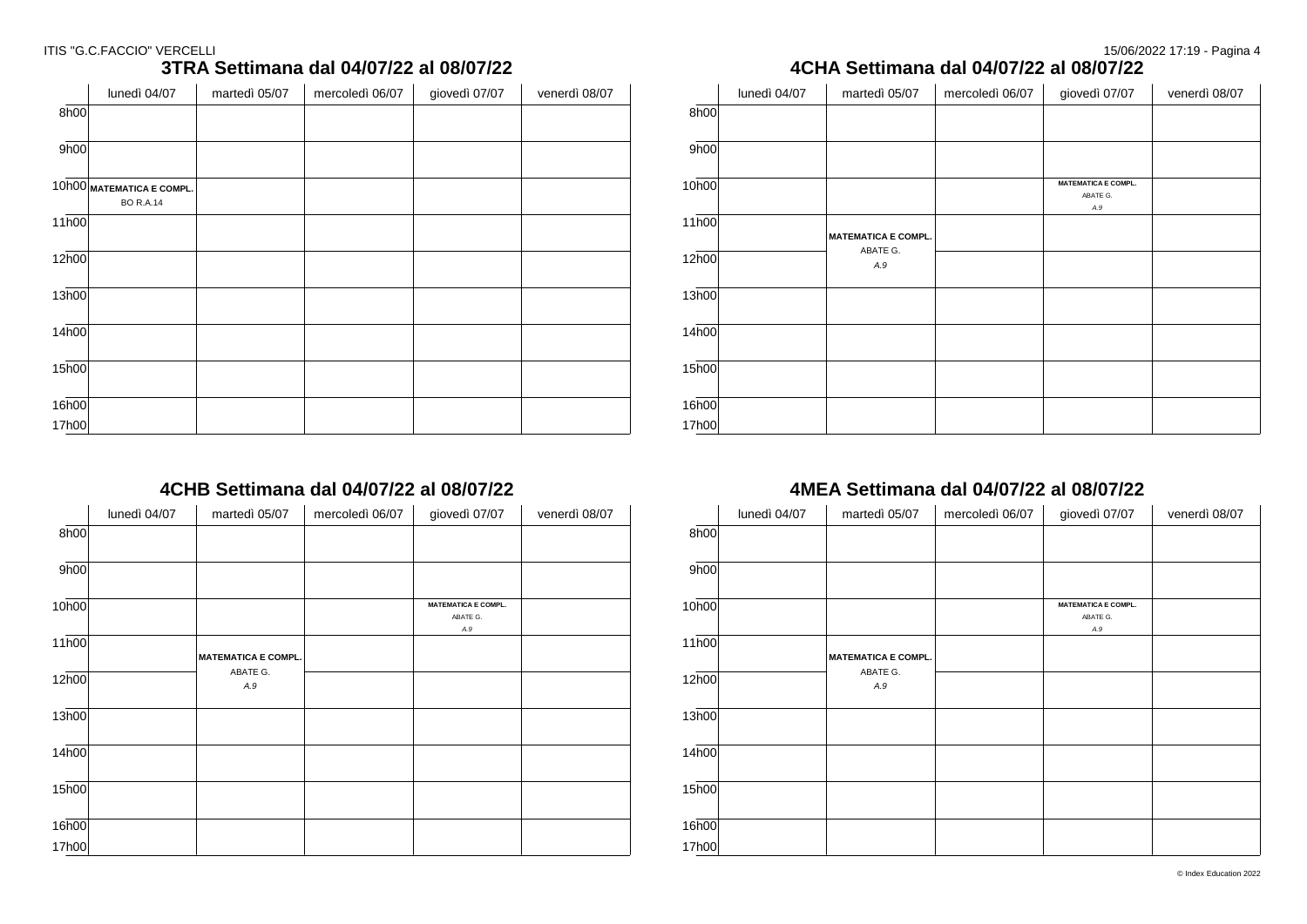|                    | lunedì 04/07                                  | martedì 05/07 | mercoledì 06/07 | giovedì 07/07 | venerdì 08/07 |
|--------------------|-----------------------------------------------|---------------|-----------------|---------------|---------------|
| 8h00               |                                               |               |                 |               |               |
|                    |                                               |               |                 |               |               |
| 9h00               |                                               |               |                 |               |               |
|                    |                                               |               |                 |               |               |
|                    | 10h00 MATEMATICA E COMPL.<br><b>BO R.A.14</b> |               |                 |               |               |
| 11h00              |                                               |               |                 |               |               |
|                    |                                               |               |                 |               |               |
| 12 <sub>h00</sub>  |                                               |               |                 |               |               |
|                    |                                               |               |                 |               |               |
| 13h00              |                                               |               |                 |               |               |
|                    |                                               |               |                 |               |               |
| 14 <sub>h00</sub>  |                                               |               |                 |               |               |
| $15\overline{h00}$ |                                               |               |                 |               |               |
|                    |                                               |               |                 |               |               |
| 16h00              |                                               |               |                 |               |               |
| 17h00              |                                               |               |                 |               |               |

### **3TRA Settimana dal 04/07/22 al 08/07/22**

### **4CHB Settimana dal 04/07/22 al 08/07/22**

|       | lunedì 04/07 | martedì 05/07              | mercoledì 06/07 | giovedì 07/07              | venerdì 08/07 |
|-------|--------------|----------------------------|-----------------|----------------------------|---------------|
| 8h00  |              |                            |                 |                            |               |
| 9h00  |              |                            |                 |                            |               |
|       |              |                            |                 |                            |               |
| 10h00 |              |                            |                 | <b>MATEMATICA E COMPL.</b> |               |
|       |              |                            |                 | ABATE G.<br>A.9            |               |
| 11h00 |              |                            |                 |                            |               |
|       |              | <b>MATEMATICA E COMPL.</b> |                 |                            |               |
| 12h00 |              | ABATE G.                   |                 |                            |               |
|       |              | A.9                        |                 |                            |               |
| 13h00 |              |                            |                 |                            |               |
|       |              |                            |                 |                            |               |
| 14h00 |              |                            |                 |                            |               |
|       |              |                            |                 |                            |               |
| 15h00 |              |                            |                 |                            |               |
|       |              |                            |                 |                            |               |
| 16h00 |              |                            |                 |                            |               |
| 17h00 |              |                            |                 |                            |               |

### **4CHA Settimana dal 04/07/22 al 08/07/22**

|                    | lunedì 04/07 | martedì 05/07              | mercoledì 06/07 | giovedì 07/07              | venerdì 08/07 |
|--------------------|--------------|----------------------------|-----------------|----------------------------|---------------|
| 8h00               |              |                            |                 |                            |               |
|                    |              |                            |                 |                            |               |
| 9h00               |              |                            |                 |                            |               |
|                    |              |                            |                 |                            |               |
| 10h00              |              |                            |                 | <b>MATEMATICA E COMPL.</b> |               |
|                    |              |                            |                 | ABATE G.                   |               |
|                    |              |                            |                 | A.9                        |               |
| $11\overline{h00}$ |              |                            |                 |                            |               |
|                    |              | <b>MATEMATICA E COMPL.</b> |                 |                            |               |
|                    |              | ABATE G.                   |                 |                            |               |
| 12h00              |              | A.9                        |                 |                            |               |
|                    |              |                            |                 |                            |               |
| 13h00              |              |                            |                 |                            |               |
|                    |              |                            |                 |                            |               |
|                    |              |                            |                 |                            |               |
| 14h00              |              |                            |                 |                            |               |
|                    |              |                            |                 |                            |               |
|                    |              |                            |                 |                            |               |
| $15\overline{h00}$ |              |                            |                 |                            |               |
|                    |              |                            |                 |                            |               |
|                    |              |                            |                 |                            |               |
| 16h00              |              |                            |                 |                            |               |
|                    |              |                            |                 |                            |               |
| 17h00              |              |                            |                 |                            |               |

### **4MEA Settimana dal 04/07/22 al 08/07/22**

|                   | lunedì 04/07 | martedì 05/07              | mercoledì 06/07 | giovedì 07/07                          | venerdì 08/07 |
|-------------------|--------------|----------------------------|-----------------|----------------------------------------|---------------|
| 8h00              |              |                            |                 |                                        |               |
| 9h00              |              |                            |                 |                                        |               |
| 10h00             |              |                            |                 | <b>MATEMATICA E COMPL.</b><br>ABATE G. |               |
| 11h00             |              | <b>MATEMATICA E COMPL.</b> |                 | A.9                                    |               |
| 12 <sub>h00</sub> |              | ABATE G.<br>A.9            |                 |                                        |               |
| 13h00             |              |                            |                 |                                        |               |
| 14h00             |              |                            |                 |                                        |               |
| 15h00             |              |                            |                 |                                        |               |
| 16h00             |              |                            |                 |                                        |               |
| 17h00             |              |                            |                 |                                        |               |